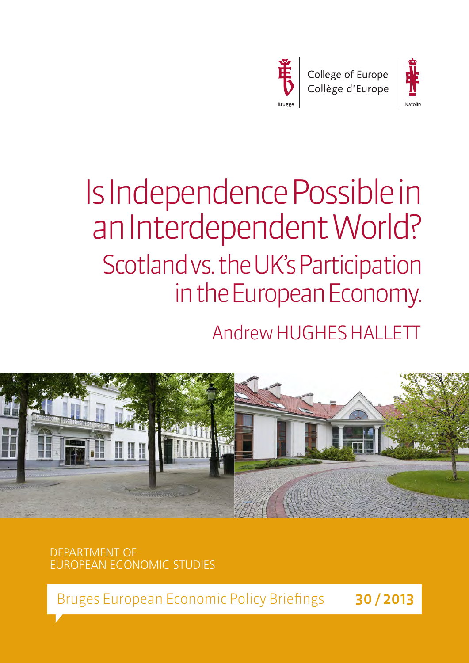



# Is Independence Possible in an Interdependent World? Scotland vs. the UK's Participation in the European Economy.

# Andrew HUGHES HALLETT



DEPARTMENT OF EUROPEAN ECONOMIC STUDIES

Bruges European Economic Policy Briefings 30/2013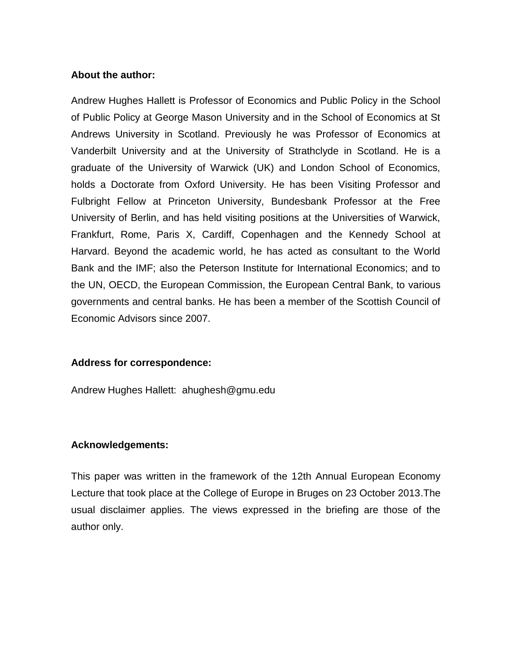#### **About the author:**

Andrew Hughes Hallett is Professor of Economics and Public Policy in the School of Public Policy at George Mason University and in the School of Economics at St Andrews University in Scotland. Previously he was Professor of Economics at Vanderbilt University and at the University of Strathclyde in Scotland. He is a graduate of the University of Warwick (UK) and London School of Economics, holds a Doctorate from Oxford University. He has been Visiting Professor and Fulbright Fellow at Princeton University, Bundesbank Professor at the Free University of Berlin, and has held visiting positions at the Universities of Warwick, Frankfurt, Rome, Paris X, Cardiff, Copenhagen and the Kennedy School at Harvard. Beyond the academic world, he has acted as consultant to the World Bank and the IMF; also the Peterson Institute for International Economics; and to the UN, OECD, the European Commission, the European Central Bank, to various governments and central banks. He has been a member of the Scottish Council of Economic Advisors since 2007.

#### **Address for correspondence:**

Andrew Hughes Hallett: ahughesh@gmu.edu

#### **Acknowledgements:**

This paper was written in the framework of the 12th Annual European Economy Lecture that took place at the College of Europe in Bruges on 23 October 2013.The usual disclaimer applies. The views expressed in the briefing are those of the author only.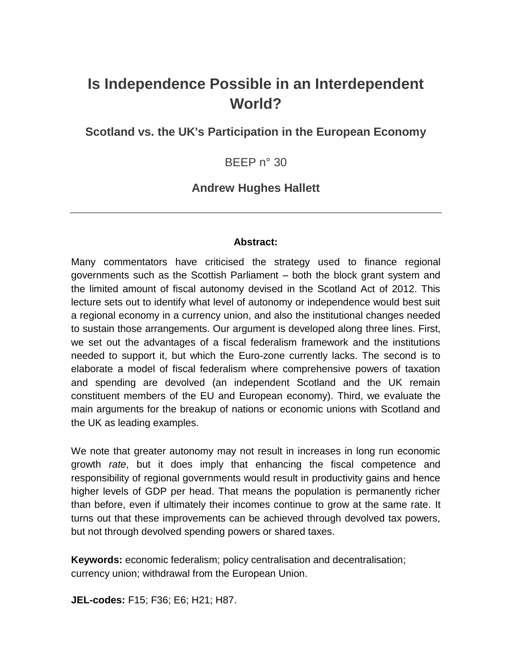# **Is Independence Possible in an Interdependent World?**

**Scotland vs. the UK's Participation in the European Economy**

BEEP n° 30

#### **Andrew Hughes Hallett**

#### **Abstract:**

Many commentators have criticised the strategy used to finance regional governments such as the Scottish Parliament – both the block grant system and the limited amount of fiscal autonomy devised in the Scotland Act of 2012. This lecture sets out to identify what level of autonomy or independence would best suit a regional economy in a currency union, and also the institutional changes needed to sustain those arrangements. Our argument is developed along three lines. First, we set out the advantages of a fiscal federalism framework and the institutions needed to support it, but which the Euro-zone currently lacks. The second is to elaborate a model of fiscal federalism where comprehensive powers of taxation and spending are devolved (an independent Scotland and the UK remain constituent members of the EU and European economy). Third, we evaluate the main arguments for the breakup of nations or economic unions with Scotland and the UK as leading examples.

We note that greater autonomy may not result in increases in long run economic growth *rate*, but it does imply that enhancing the fiscal competence and responsibility of regional governments would result in productivity gains and hence higher levels of GDP per head. That means the population is permanently richer than before, even if ultimately their incomes continue to grow at the same rate. It turns out that these improvements can be achieved through devolved tax powers, but not through devolved spending powers or shared taxes.

**Keywords:** economic federalism; policy centralisation and decentralisation; currency union; withdrawal from the European Union.

**JEL-codes:** F15; F36; E6; H21; H87.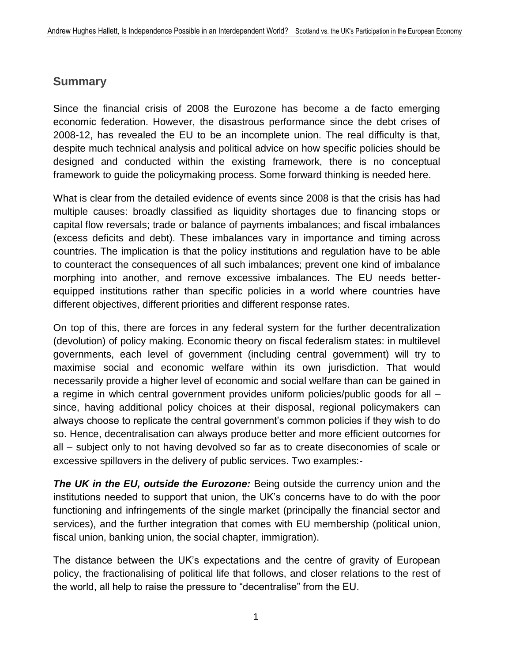### **Summary**

Since the financial crisis of 2008 the Eurozone has become a de facto emerging economic federation. However, the disastrous performance since the debt crises of 2008-12, has revealed the EU to be an incomplete union. The real difficulty is that, despite much technical analysis and political advice on how specific policies should be designed and conducted within the existing framework, there is no conceptual framework to guide the policymaking process. Some forward thinking is needed here.

What is clear from the detailed evidence of events since 2008 is that the crisis has had multiple causes: broadly classified as liquidity shortages due to financing stops or capital flow reversals; trade or balance of payments imbalances; and fiscal imbalances (excess deficits and debt). These imbalances vary in importance and timing across countries. The implication is that the policy institutions and regulation have to be able to counteract the consequences of all such imbalances; prevent one kind of imbalance morphing into another, and remove excessive imbalances. The EU needs betterequipped institutions rather than specific policies in a world where countries have different objectives, different priorities and different response rates.

On top of this, there are forces in any federal system for the further decentralization (devolution) of policy making. Economic theory on fiscal federalism states: in multilevel governments, each level of government (including central government) will try to maximise social and economic welfare within its own jurisdiction. That would necessarily provide a higher level of economic and social welfare than can be gained in a regime in which central government provides uniform policies/public goods for all – since, having additional policy choices at their disposal, regional policymakers can always choose to replicate the central government's common policies if they wish to do so. Hence, decentralisation can always produce better and more efficient outcomes for all – subject only to not having devolved so far as to create diseconomies of scale or excessive spillovers in the delivery of public services. Two examples:-

**The UK in the EU, outside the Eurozone:** Being outside the currency union and the institutions needed to support that union, the UK's concerns have to do with the poor functioning and infringements of the single market (principally the financial sector and services), and the further integration that comes with EU membership (political union, fiscal union, banking union, the social chapter, immigration).

The distance between the UK's expectations and the centre of gravity of European policy, the fractionalising of political life that follows, and closer relations to the rest of the world, all help to raise the pressure to "decentralise" from the EU.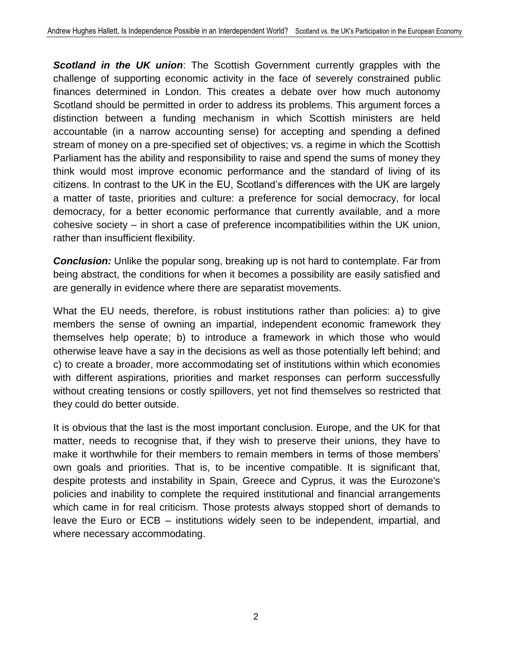*Scotland in the UK union*: The Scottish Government currently grapples with the challenge of supporting economic activity in the face of severely constrained public finances determined in London. This creates a debate over how much autonomy Scotland should be permitted in order to address its problems. This argument forces a distinction between a funding mechanism in which Scottish ministers are held accountable (in a narrow accounting sense) for accepting and spending a defined stream of money on a pre-specified set of objectives; vs. a regime in which the Scottish Parliament has the ability and responsibility to raise and spend the sums of money they think would most improve economic performance and the standard of living of its citizens. In contrast to the UK in the EU, Scotland's differences with the UK are largely a matter of taste, priorities and culture: a preference for social democracy, for local democracy, for a better economic performance that currently available, and a more cohesive society – in short a case of preference incompatibilities within the UK union, rather than insufficient flexibility.

**Conclusion:** Unlike the popular song, breaking up is not hard to contemplate. Far from being abstract, the conditions for when it becomes a possibility are easily satisfied and are generally in evidence where there are separatist movements.

What the EU needs, therefore, is robust institutions rather than policies: a) to give members the sense of owning an impartial, independent economic framework they themselves help operate; b) to introduce a framework in which those who would otherwise leave have a say in the decisions as well as those potentially left behind; and c) to create a broader, more accommodating set of institutions within which economies with different aspirations, priorities and market responses can perform successfully without creating tensions or costly spillovers, yet not find themselves so restricted that they could do better outside.

It is obvious that the last is the most important conclusion. Europe, and the UK for that matter, needs to recognise that, if they wish to preserve their unions, they have to make it worthwhile for their members to remain members in terms of those members' own goals and priorities. That is, to be incentive compatible. It is significant that, despite protests and instability in Spain, Greece and Cyprus, it was the Eurozone's policies and inability to complete the required institutional and financial arrangements which came in for real criticism. Those protests always stopped short of demands to leave the Euro or ECB – institutions widely seen to be independent, impartial, and where necessary accommodating.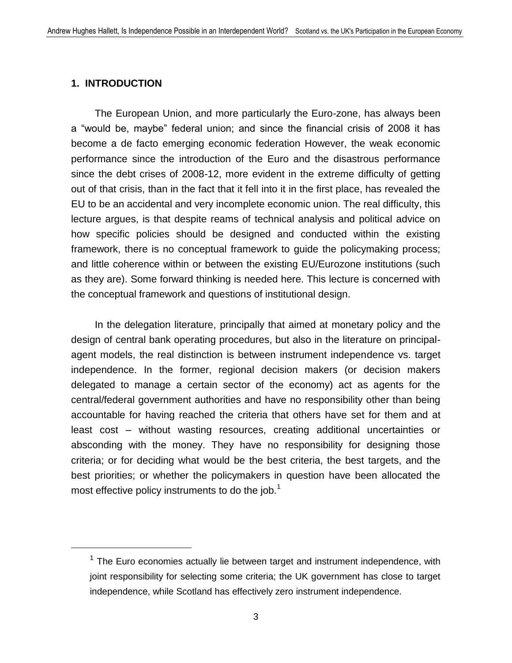#### **1. INTRODUCTION**

 $\overline{a}$ 

The European Union, and more particularly the Euro-zone, has always been a "would be, maybe" federal union; and since the financial crisis of 2008 it has become a de facto emerging economic federation However, the weak economic performance since the introduction of the Euro and the disastrous performance since the debt crises of 2008-12, more evident in the extreme difficulty of getting out of that crisis, than in the fact that it fell into it in the first place, has revealed the EU to be an accidental and very incomplete economic union. The real difficulty, this lecture argues, is that despite reams of technical analysis and political advice on how specific policies should be designed and conducted within the existing framework, there is no conceptual framework to guide the policymaking process; and little coherence within or between the existing EU/Eurozone institutions (such as they are). Some forward thinking is needed here. This lecture is concerned with the conceptual framework and questions of institutional design.

In the delegation literature, principally that aimed at monetary policy and the design of central bank operating procedures, but also in the literature on principalagent models, the real distinction is between instrument independence vs. target independence. In the former, regional decision makers (or decision makers delegated to manage a certain sector of the economy) act as agents for the central/federal government authorities and have no responsibility other than being accountable for having reached the criteria that others have set for them and at least cost – without wasting resources, creating additional uncertainties or absconding with the money. They have no responsibility for designing those criteria; or for deciding what would be the best criteria, the best targets, and the best priorities; or whether the policymakers in question have been allocated the most effective policy instruments to do the job. $<sup>1</sup>$ </sup>

 $1$  The Euro economies actually lie between target and instrument independence, with joint responsibility for selecting some criteria; the UK government has close to target independence, while Scotland has effectively zero instrument independence.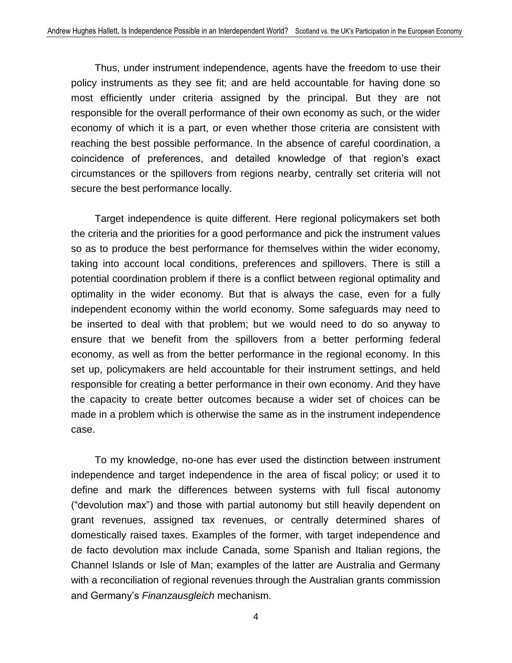Thus, under instrument independence, agents have the freedom to use their policy instruments as they see fit; and are held accountable for having done so most efficiently under criteria assigned by the principal. But they are not responsible for the overall performance of their own economy as such, or the wider economy of which it is a part, or even whether those criteria are consistent with reaching the best possible performance. In the absence of careful coordination, a coincidence of preferences, and detailed knowledge of that region's exact circumstances or the spillovers from regions nearby, centrally set criteria will not secure the best performance locally.

Target independence is quite different. Here regional policymakers set both the criteria and the priorities for a good performance and pick the instrument values so as to produce the best performance for themselves within the wider economy, taking into account local conditions, preferences and spillovers. There is still a potential coordination problem if there is a conflict between regional optimality and optimality in the wider economy. But that is always the case, even for a fully independent economy within the world economy. Some safeguards may need to be inserted to deal with that problem; but we would need to do so anyway to ensure that we benefit from the spillovers from a better performing federal economy, as well as from the better performance in the regional economy. In this set up, policymakers are held accountable for their instrument settings, and held responsible for creating a better performance in their own economy. And they have the capacity to create better outcomes because a wider set of choices can be made in a problem which is otherwise the same as in the instrument independence case.

To my knowledge, no-one has ever used the distinction between instrument independence and target independence in the area of fiscal policy; or used it to define and mark the differences between systems with full fiscal autonomy ("devolution max") and those with partial autonomy but still heavily dependent on grant revenues, assigned tax revenues, or centrally determined shares of domestically raised taxes. Examples of the former, with target independence and de facto devolution max include Canada, some Spanish and Italian regions, the Channel Islands or Isle of Man; examples of the latter are Australia and Germany with a reconciliation of regional revenues through the Australian grants commission and Germany's *Finanzausgleich* mechanism.

4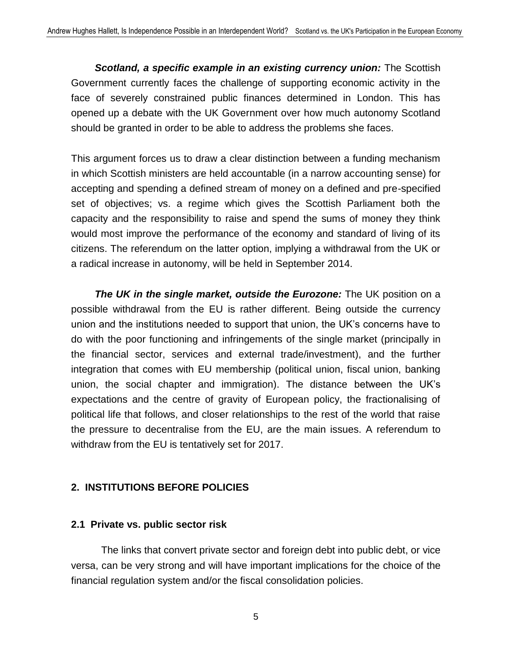*Scotland, a specific example in an existing currency union:* The Scottish Government currently faces the challenge of supporting economic activity in the face of severely constrained public finances determined in London. This has opened up a debate with the UK Government over how much autonomy Scotland should be granted in order to be able to address the problems she faces.

This argument forces us to draw a clear distinction between a funding mechanism in which Scottish ministers are held accountable (in a narrow accounting sense) for accepting and spending a defined stream of money on a defined and pre-specified set of objectives; vs. a regime which gives the Scottish Parliament both the capacity and the responsibility to raise and spend the sums of money they think would most improve the performance of the economy and standard of living of its citizens. The referendum on the latter option, implying a withdrawal from the UK or a radical increase in autonomy, will be held in September 2014.

*The UK in the single market, outside the Eurozone:* The UK position on a possible withdrawal from the EU is rather different. Being outside the currency union and the institutions needed to support that union, the UK's concerns have to do with the poor functioning and infringements of the single market (principally in the financial sector, services and external trade/investment), and the further integration that comes with EU membership (political union, fiscal union, banking union, the social chapter and immigration). The distance between the UK's expectations and the centre of gravity of European policy, the fractionalising of political life that follows, and closer relationships to the rest of the world that raise the pressure to decentralise from the EU, are the main issues. A referendum to withdraw from the EU is tentatively set for 2017.

#### **2. INSTITUTIONS BEFORE POLICIES**

#### **2.1 Private vs. public sector risk**

The links that convert private sector and foreign debt into public debt, or vice versa, can be very strong and will have important implications for the choice of the financial regulation system and/or the fiscal consolidation policies.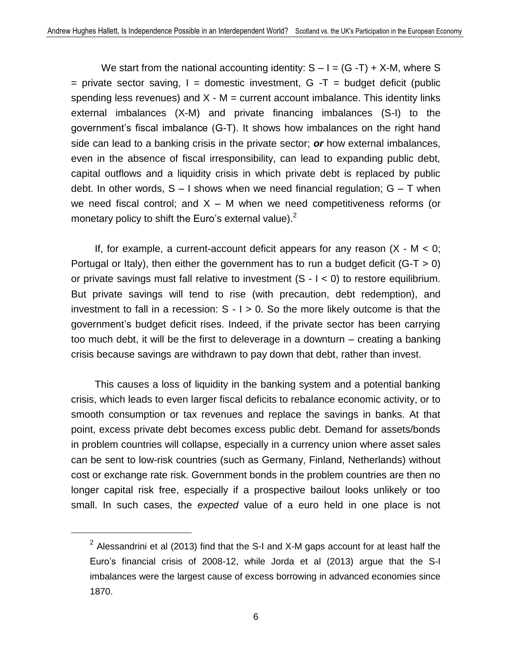We start from the national accounting identity:  $S - I = (G - T) + X-M$ , where S  $=$  private sector saving, I = domestic investment, G  $-T =$  budget deficit (public spending less revenues) and  $X - M =$  current account imbalance. This identity links external imbalances (X-M) and private financing imbalances (S-I) to the government's fiscal imbalance (G-T). It shows how imbalances on the right hand side can lead to a banking crisis in the private sector; *or* how external imbalances, even in the absence of fiscal irresponsibility, can lead to expanding public debt, capital outflows and a liquidity crisis in which private debt is replaced by public debt. In other words,  $S - I$  shows when we need financial regulation;  $G - T$  when we need fiscal control; and  $X - M$  when we need competitiveness reforms (or monetary policy to shift the Euro's external value).<sup>2</sup>

If, for example, a current-account deficit appears for any reason  $(X - M < 0)$ ; Portugal or Italy), then either the government has to run a budget deficit  $(G-T > 0)$ or private savings must fall relative to investment  $(S - I < 0)$  to restore equilibrium. But private savings will tend to rise (with precaution, debt redemption), and investment to fall in a recession:  $S - I > 0$ . So the more likely outcome is that the government's budget deficit rises. Indeed, if the private sector has been carrying too much debt, it will be the first to deleverage in a downturn – creating a banking crisis because savings are withdrawn to pay down that debt, rather than invest.

This causes a loss of liquidity in the banking system and a potential banking crisis, which leads to even larger fiscal deficits to rebalance economic activity, or to smooth consumption or tax revenues and replace the savings in banks. At that point, excess private debt becomes excess public debt. Demand for assets/bonds in problem countries will collapse, especially in a currency union where asset sales can be sent to low-risk countries (such as Germany, Finland, Netherlands) without cost or exchange rate risk. Government bonds in the problem countries are then no longer capital risk free, especially if a prospective bailout looks unlikely or too small. In such cases, the *expected* value of a euro held in one place is not

 $2$  Alessandrini et al (2013) find that the S-I and X-M gaps account for at least half the Euro's financial crisis of 2008-12, while Jorda et al (2013) argue that the S-I imbalances were the largest cause of excess borrowing in advanced economies since 1870.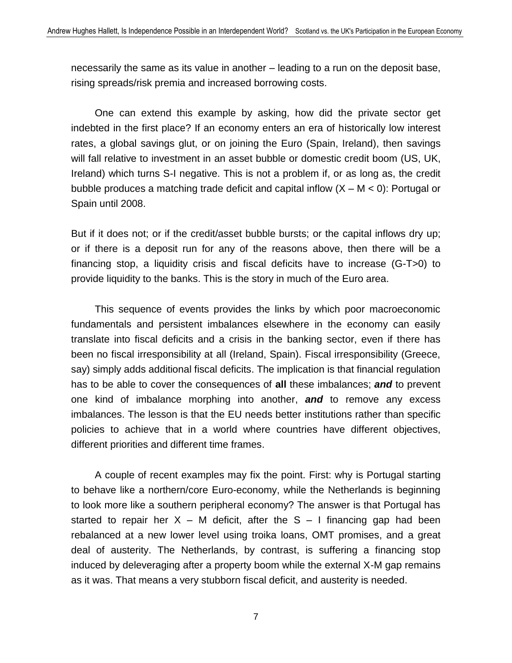necessarily the same as its value in another – leading to a run on the deposit base, rising spreads/risk premia and increased borrowing costs.

One can extend this example by asking, how did the private sector get indebted in the first place? If an economy enters an era of historically low interest rates, a global savings glut, or on joining the Euro (Spain, Ireland), then savings will fall relative to investment in an asset bubble or domestic credit boom (US, UK, Ireland) which turns S-I negative. This is not a problem if, or as long as, the credit bubble produces a matching trade deficit and capital inflow  $(X - M < 0)$ : Portugal or Spain until 2008.

But if it does not; or if the credit/asset bubble bursts; or the capital inflows dry up; or if there is a deposit run for any of the reasons above, then there will be a financing stop, a liquidity crisis and fiscal deficits have to increase (G-T>0) to provide liquidity to the banks. This is the story in much of the Euro area.

This sequence of events provides the links by which poor macroeconomic fundamentals and persistent imbalances elsewhere in the economy can easily translate into fiscal deficits and a crisis in the banking sector, even if there has been no fiscal irresponsibility at all (Ireland, Spain). Fiscal irresponsibility (Greece, say) simply adds additional fiscal deficits. The implication is that financial regulation has to be able to cover the consequences of **all** these imbalances; *and* to prevent one kind of imbalance morphing into another, *and* to remove any excess imbalances. The lesson is that the EU needs better institutions rather than specific policies to achieve that in a world where countries have different objectives, different priorities and different time frames.

A couple of recent examples may fix the point. First: why is Portugal starting to behave like a northern/core Euro-economy, while the Netherlands is beginning to look more like a southern peripheral economy? The answer is that Portugal has started to repair her  $X - M$  deficit, after the  $S - I$  financing gap had been rebalanced at a new lower level using troika loans, OMT promises, and a great deal of austerity. The Netherlands, by contrast, is suffering a financing stop induced by deleveraging after a property boom while the external X-M gap remains as it was. That means a very stubborn fiscal deficit, and austerity is needed.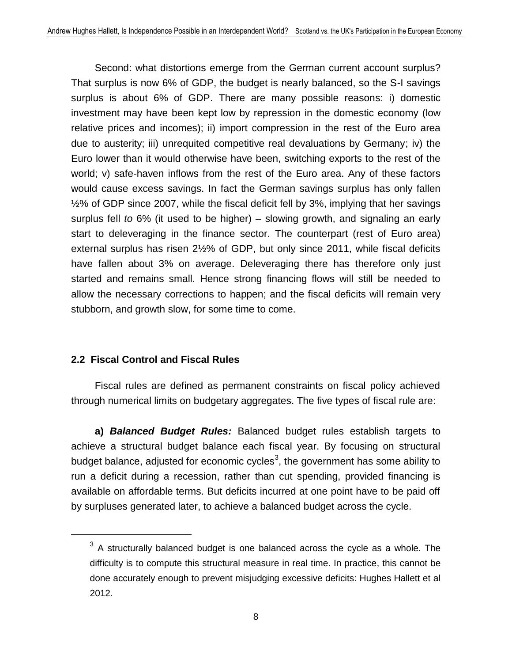Second: what distortions emerge from the German current account surplus? That surplus is now 6% of GDP, the budget is nearly balanced, so the S-I savings surplus is about 6% of GDP. There are many possible reasons: i) domestic investment may have been kept low by repression in the domestic economy (low relative prices and incomes); ii) import compression in the rest of the Euro area due to austerity; iii) unrequited competitive real devaluations by Germany; iv) the Euro lower than it would otherwise have been, switching exports to the rest of the world; v) safe-haven inflows from the rest of the Euro area. Any of these factors would cause excess savings. In fact the German savings surplus has only fallen ½% of GDP since 2007, while the fiscal deficit fell by 3%, implying that her savings surplus fell *to* 6% (it used to be higher) – slowing growth, and signaling an early start to deleveraging in the finance sector. The counterpart (rest of Euro area) external surplus has risen 2½% of GDP, but only since 2011, while fiscal deficits have fallen about 3% on average. Deleveraging there has therefore only just started and remains small. Hence strong financing flows will still be needed to allow the necessary corrections to happen; and the fiscal deficits will remain very stubborn, and growth slow, for some time to come.

#### **2.2 Fiscal Control and Fiscal Rules**

 $\overline{a}$ 

Fiscal rules are defined as permanent constraints on fiscal policy achieved through numerical limits on budgetary aggregates. The five types of fiscal rule are:

**a)** *Balanced Budget Rules:* Balanced budget rules establish targets to achieve a structural budget balance each fiscal year. By focusing on structural budget balance, adjusted for economic cycles<sup>3</sup>, the government has some ability to run a deficit during a recession, rather than cut spending, provided financing is available on affordable terms. But deficits incurred at one point have to be paid off by surpluses generated later, to achieve a balanced budget across the cycle.

 $3$  A structurally balanced budget is one balanced across the cycle as a whole. The difficulty is to compute this structural measure in real time. In practice, this cannot be done accurately enough to prevent misjudging excessive deficits: Hughes Hallett et al 2012.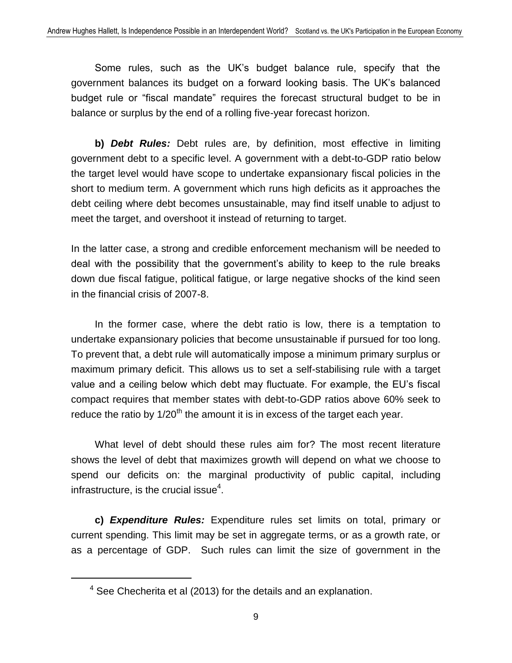Some rules, such as the UK's budget balance rule, specify that the government balances its budget on a forward looking basis. The UK's balanced budget rule or "fiscal mandate" requires the forecast structural budget to be in balance or surplus by the end of a rolling five-year forecast horizon.

**b)** *Debt Rules:* Debt rules are, by definition, most effective in limiting government debt to a specific level. A government with a debt-to-GDP ratio below the target level would have scope to undertake expansionary fiscal policies in the short to medium term. A government which runs high deficits as it approaches the debt ceiling where debt becomes unsustainable, may find itself unable to adjust to meet the target, and overshoot it instead of returning to target.

In the latter case, a strong and credible enforcement mechanism will be needed to deal with the possibility that the government's ability to keep to the rule breaks down due fiscal fatigue, political fatigue, or large negative shocks of the kind seen in the financial crisis of 2007-8.

In the former case, where the debt ratio is low, there is a temptation to undertake expansionary policies that become unsustainable if pursued for too long. To prevent that, a debt rule will automatically impose a minimum primary surplus or maximum primary deficit. This allows us to set a self-stabilising rule with a target value and a ceiling below which debt may fluctuate. For example, the EU's fiscal compact requires that member states with debt-to-GDP ratios above 60% seek to reduce the ratio by  $1/20<sup>th</sup>$  the amount it is in excess of the target each year.

What level of debt should these rules aim for? The most recent literature shows the level of debt that maximizes growth will depend on what we choose to spend our deficits on: the marginal productivity of public capital, including infrastructure, is the crucial issue $4$ .

**c)** *Expenditure Rules:* Expenditure rules set limits on total, primary or current spending. This limit may be set in aggregate terms, or as a growth rate, or as a percentage of GDP. Such rules can limit the size of government in the

<sup>4</sup> See Checherita et al (2013) for the details and an explanation.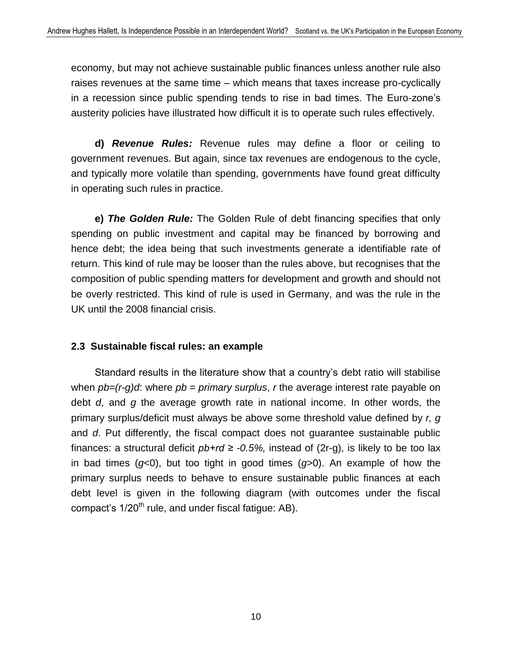economy, but may not achieve sustainable public finances unless another rule also raises revenues at the same time – which means that taxes increase pro-cyclically in a recession since public spending tends to rise in bad times. The Euro-zone's austerity policies have illustrated how difficult it is to operate such rules effectively.

**d)** *Revenue Rules:* Revenue rules may define a floor or ceiling to government revenues. But again, since tax revenues are endogenous to the cycle, and typically more volatile than spending, governments have found great difficulty in operating such rules in practice.

**e)** *The Golden Rule:* The Golden Rule of debt financing specifies that only spending on public investment and capital may be financed by borrowing and hence debt; the idea being that such investments generate a identifiable rate of return. This kind of rule may be looser than the rules above, but recognises that the composition of public spending matters for development and growth and should not be overly restricted. This kind of rule is used in Germany, and was the rule in the UK until the 2008 financial crisis.

#### **2.3 Sustainable fiscal rules: an example**

Standard results in the literature show that a country's debt ratio will stabilise when *pb=(r-g)d:* where *pb = primary surplus, r* the average interest rate payable on debt *d*, and *g* the average growth rate in national income. In other words, the primary surplus/deficit must always be above some threshold value defined by *r, g* and *d*. Put differently, the fiscal compact does not guarantee sustainable public finances: a structural deficit  $pb+rd \ge -0.5\%$ , instead of (2r-q), is likely to be too lax in bad times (*g*<0), but too tight in good times (*g*>0). An example of how the primary surplus needs to behave to ensure sustainable public finances at each debt level is given in the following diagram (with outcomes under the fiscal compact's  $1/20^{th}$  rule, and under fiscal fatique: AB).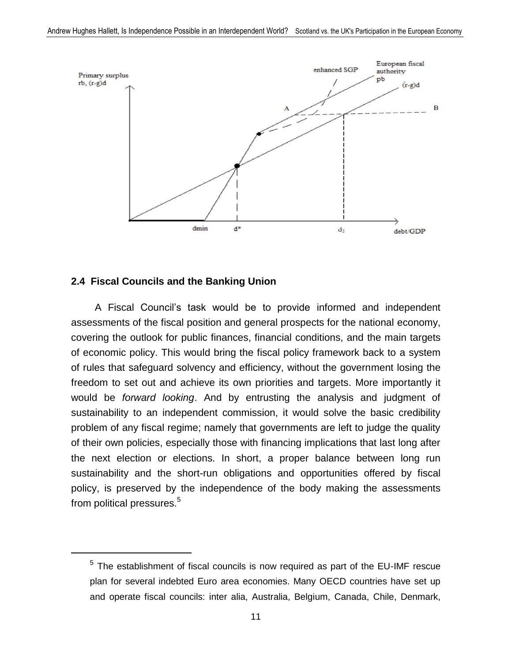

#### **2.4 Fiscal Councils and the Banking Union**

 $\overline{a}$ 

A Fiscal Council's task would be to provide informed and independent assessments of the fiscal position and general prospects for the national economy, covering the outlook for public finances, financial conditions, and the main targets of economic policy. This would bring the fiscal policy framework back to a system of rules that safeguard solvency and efficiency, without the government losing the freedom to set out and achieve its own priorities and targets. More importantly it would be *forward looking*. And by entrusting the analysis and judgment of sustainability to an independent commission, it would solve the basic credibility problem of any fiscal regime; namely that governments are left to judge the quality of their own policies, especially those with financing implications that last long after the next election or elections. In short, a proper balance between long run sustainability and the short-run obligations and opportunities offered by fiscal policy, is preserved by the independence of the body making the assessments from political pressures.<sup>5</sup>

 $<sup>5</sup>$  The establishment of fiscal councils is now required as part of the EU-IMF rescue</sup> plan for several indebted Euro area economies. Many OECD countries have set up and operate fiscal councils: inter alia, Australia, Belgium, Canada, Chile, Denmark,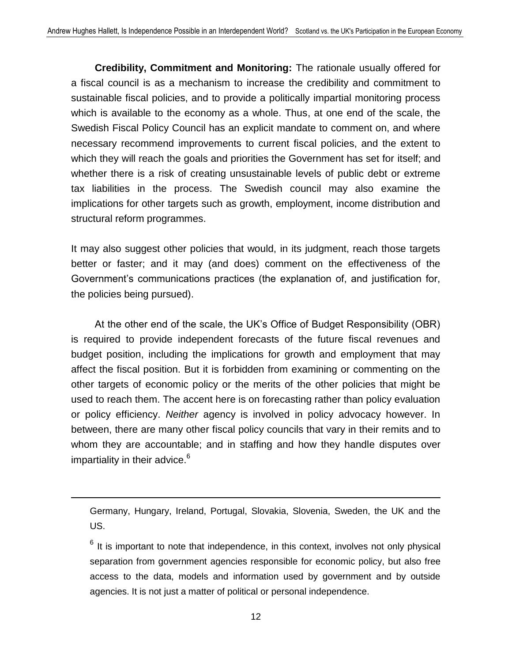**Credibility, Commitment and Monitoring:** The rationale usually offered for a fiscal council is as a mechanism to increase the credibility and commitment to sustainable fiscal policies, and to provide a politically impartial monitoring process which is available to the economy as a whole. Thus, at one end of the scale, the Swedish Fiscal Policy Council has an explicit mandate to comment on, and where necessary recommend improvements to current fiscal policies, and the extent to which they will reach the goals and priorities the Government has set for itself; and whether there is a risk of creating unsustainable levels of public debt or extreme tax liabilities in the process. The Swedish council may also examine the implications for other targets such as growth, employment, income distribution and structural reform programmes.

It may also suggest other policies that would, in its judgment, reach those targets better or faster; and it may (and does) comment on the effectiveness of the Government's communications practices (the explanation of, and justification for, the policies being pursued).

At the other end of the scale, the UK's Office of Budget Responsibility (OBR) is required to provide independent forecasts of the future fiscal revenues and budget position, including the implications for growth and employment that may affect the fiscal position. But it is forbidden from examining or commenting on the other targets of economic policy or the merits of the other policies that might be used to reach them. The accent here is on forecasting rather than policy evaluation or policy efficiency. *Neither* agency is involved in policy advocacy however. In between, there are many other fiscal policy councils that vary in their remits and to whom they are accountable; and in staffing and how they handle disputes over impartiality in their advice.<sup>6</sup>

 $\overline{\phantom{a}}$ 

Germany, Hungary, Ireland, Portugal, Slovakia, Slovenia, Sweden, the UK and the US.

 $6$  It is important to note that independence, in this context, involves not only physical separation from government agencies responsible for economic policy, but also free access to the data, models and information used by government and by outside agencies. It is not just a matter of political or personal independence.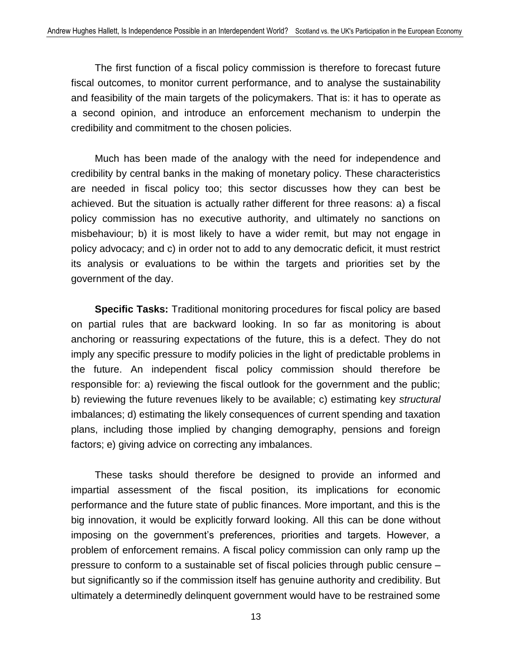The first function of a fiscal policy commission is therefore to forecast future fiscal outcomes, to monitor current performance, and to analyse the sustainability and feasibility of the main targets of the policymakers. That is: it has to operate as a second opinion, and introduce an enforcement mechanism to underpin the credibility and commitment to the chosen policies.

Much has been made of the analogy with the need for independence and credibility by central banks in the making of monetary policy. These characteristics are needed in fiscal policy too; this sector discusses how they can best be achieved. But the situation is actually rather different for three reasons: a) a fiscal policy commission has no executive authority, and ultimately no sanctions on misbehaviour; b) it is most likely to have a wider remit, but may not engage in policy advocacy; and c) in order not to add to any democratic deficit, it must restrict its analysis or evaluations to be within the targets and priorities set by the government of the day.

**Specific Tasks:** Traditional monitoring procedures for fiscal policy are based on partial rules that are backward looking. In so far as monitoring is about anchoring or reassuring expectations of the future, this is a defect. They do not imply any specific pressure to modify policies in the light of predictable problems in the future. An independent fiscal policy commission should therefore be responsible for: a) reviewing the fiscal outlook for the government and the public; b) reviewing the future revenues likely to be available; c) estimating key *structural* imbalances; d) estimating the likely consequences of current spending and taxation plans, including those implied by changing demography, pensions and foreign factors; e) giving advice on correcting any imbalances.

These tasks should therefore be designed to provide an informed and impartial assessment of the fiscal position, its implications for economic performance and the future state of public finances. More important, and this is the big innovation, it would be explicitly forward looking. All this can be done without imposing on the government's preferences, priorities and targets. However, a problem of enforcement remains. A fiscal policy commission can only ramp up the pressure to conform to a sustainable set of fiscal policies through public censure – but significantly so if the commission itself has genuine authority and credibility. But ultimately a determinedly delinquent government would have to be restrained some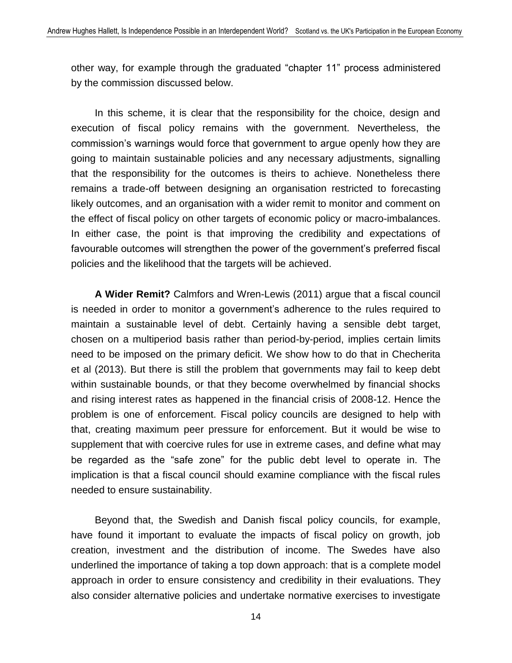other way, for example through the graduated "chapter 11" process administered by the commission discussed below.

In this scheme, it is clear that the responsibility for the choice, design and execution of fiscal policy remains with the government. Nevertheless, the commission's warnings would force that government to argue openly how they are going to maintain sustainable policies and any necessary adjustments, signalling that the responsibility for the outcomes is theirs to achieve. Nonetheless there remains a trade-off between designing an organisation restricted to forecasting likely outcomes, and an organisation with a wider remit to monitor and comment on the effect of fiscal policy on other targets of economic policy or macro-imbalances. In either case, the point is that improving the credibility and expectations of favourable outcomes will strengthen the power of the government's preferred fiscal policies and the likelihood that the targets will be achieved.

**A Wider Remit?** Calmfors and Wren-Lewis (2011) argue that a fiscal council is needed in order to monitor a government's adherence to the rules required to maintain a sustainable level of debt. Certainly having a sensible debt target, chosen on a multiperiod basis rather than period-by-period, implies certain limits need to be imposed on the primary deficit. We show how to do that in Checherita et al (2013). But there is still the problem that governments may fail to keep debt within sustainable bounds, or that they become overwhelmed by financial shocks and rising interest rates as happened in the financial crisis of 2008-12. Hence the problem is one of enforcement. Fiscal policy councils are designed to help with that, creating maximum peer pressure for enforcement. But it would be wise to supplement that with coercive rules for use in extreme cases, and define what may be regarded as the "safe zone" for the public debt level to operate in. The implication is that a fiscal council should examine compliance with the fiscal rules needed to ensure sustainability.

Beyond that, the Swedish and Danish fiscal policy councils, for example, have found it important to evaluate the impacts of fiscal policy on growth, job creation, investment and the distribution of income. The Swedes have also underlined the importance of taking a top down approach: that is a complete model approach in order to ensure consistency and credibility in their evaluations. They also consider alternative policies and undertake normative exercises to investigate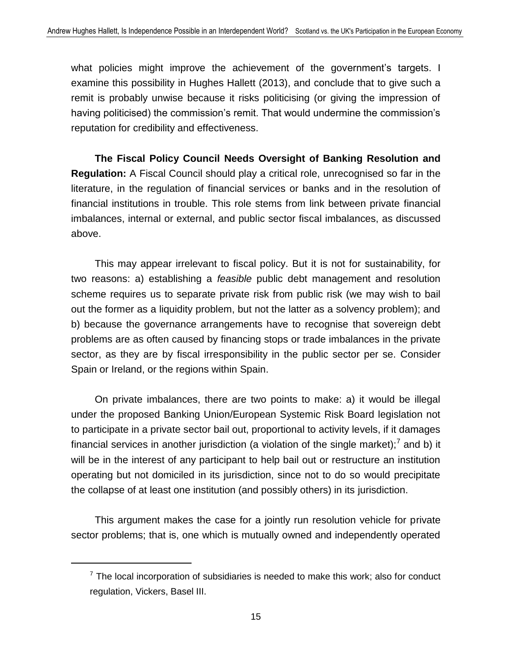what policies might improve the achievement of the government's targets. I examine this possibility in Hughes Hallett (2013), and conclude that to give such a remit is probably unwise because it risks politicising (or giving the impression of having politicised) the commission's remit. That would undermine the commission's reputation for credibility and effectiveness.

**The Fiscal Policy Council Needs Oversight of Banking Resolution and Regulation:** A Fiscal Council should play a critical role, unrecognised so far in the literature, in the regulation of financial services or banks and in the resolution of financial institutions in trouble. This role stems from link between private financial imbalances, internal or external, and public sector fiscal imbalances, as discussed above.

This may appear irrelevant to fiscal policy. But it is not for sustainability, for two reasons: a) establishing a *feasible* public debt management and resolution scheme requires us to separate private risk from public risk (we may wish to bail out the former as a liquidity problem, but not the latter as a solvency problem); and b) because the governance arrangements have to recognise that sovereign debt problems are as often caused by financing stops or trade imbalances in the private sector, as they are by fiscal irresponsibility in the public sector per se. Consider Spain or Ireland, or the regions within Spain.

On private imbalances, there are two points to make: a) it would be illegal under the proposed Banking Union/European Systemic Risk Board legislation not to participate in a private sector bail out, proportional to activity levels, if it damages financial services in another jurisdiction (a violation of the single market);<sup>7</sup> and b) it will be in the interest of any participant to help bail out or restructure an institution operating but not domiciled in its jurisdiction, since not to do so would precipitate the collapse of at least one institution (and possibly others) in its jurisdiction.

This argument makes the case for a jointly run resolution vehicle for private sector problems; that is, one which is mutually owned and independently operated

 $7$  The local incorporation of subsidiaries is needed to make this work; also for conduct regulation, Vickers, Basel III.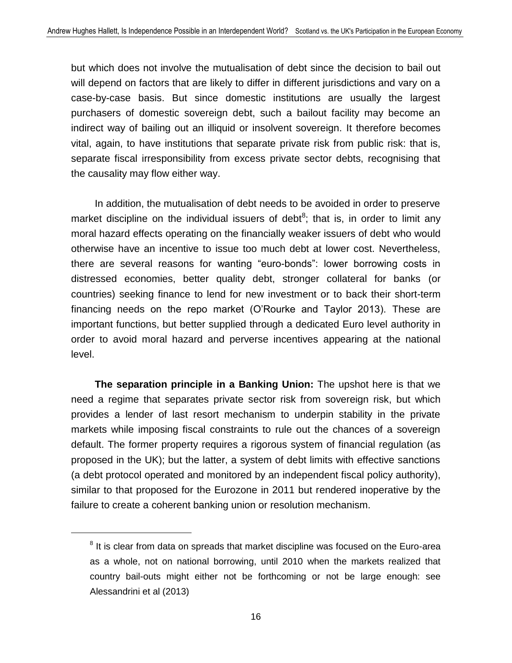but which does not involve the mutualisation of debt since the decision to bail out will depend on factors that are likely to differ in different jurisdictions and vary on a case-by-case basis. But since domestic institutions are usually the largest purchasers of domestic sovereign debt, such a bailout facility may become an indirect way of bailing out an illiquid or insolvent sovereign. It therefore becomes vital, again, to have institutions that separate private risk from public risk: that is, separate fiscal irresponsibility from excess private sector debts, recognising that the causality may flow either way.

In addition, the mutualisation of debt needs to be avoided in order to preserve market discipline on the individual issuers of debt<sup>8</sup>; that is, in order to limit any moral hazard effects operating on the financially weaker issuers of debt who would otherwise have an incentive to issue too much debt at lower cost. Nevertheless, there are several reasons for wanting "euro-bonds": lower borrowing costs in distressed economies, better quality debt, stronger collateral for banks (or countries) seeking finance to lend for new investment or to back their short-term financing needs on the repo market (O'Rourke and Taylor 2013). These are important functions, but better supplied through a dedicated Euro level authority in order to avoid moral hazard and perverse incentives appearing at the national level.

**The separation principle in a Banking Union:** The upshot here is that we need a regime that separates private sector risk from sovereign risk, but which provides a lender of last resort mechanism to underpin stability in the private markets while imposing fiscal constraints to rule out the chances of a sovereign default. The former property requires a rigorous system of financial regulation (as proposed in the UK); but the latter, a system of debt limits with effective sanctions (a debt protocol operated and monitored by an independent fiscal policy authority), similar to that proposed for the Eurozone in 2011 but rendered inoperative by the failure to create a coherent banking union or resolution mechanism.

 $8$  It is clear from data on spreads that market discipline was focused on the Euro-area as a whole, not on national borrowing, until 2010 when the markets realized that country bail-outs might either not be forthcoming or not be large enough: see Alessandrini et al (2013)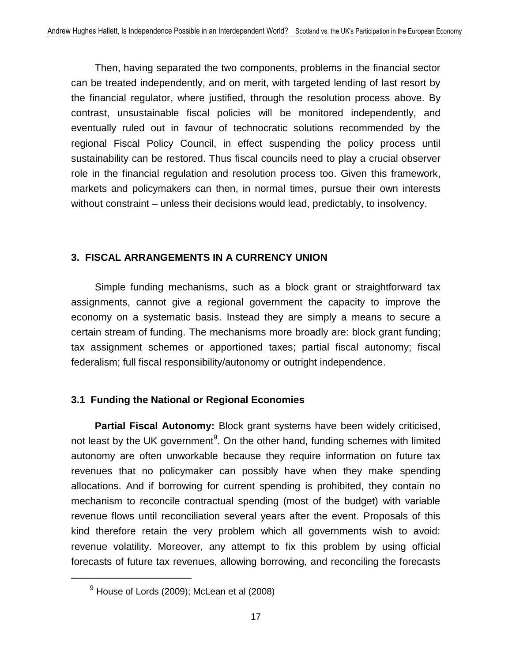Then, having separated the two components, problems in the financial sector can be treated independently, and on merit, with targeted lending of last resort by the financial regulator, where justified, through the resolution process above. By contrast, unsustainable fiscal policies will be monitored independently, and eventually ruled out in favour of technocratic solutions recommended by the regional Fiscal Policy Council, in effect suspending the policy process until sustainability can be restored. Thus fiscal councils need to play a crucial observer role in the financial regulation and resolution process too. Given this framework, markets and policymakers can then, in normal times, pursue their own interests without constraint – unless their decisions would lead, predictably, to insolvency.

#### **3. FISCAL ARRANGEMENTS IN A CURRENCY UNION**

Simple funding mechanisms, such as a block grant or straightforward tax assignments, cannot give a regional government the capacity to improve the economy on a systematic basis. Instead they are simply a means to secure a certain stream of funding. The mechanisms more broadly are: block grant funding; tax assignment schemes or apportioned taxes; partial fiscal autonomy; fiscal federalism; full fiscal responsibility/autonomy or outright independence.

#### **3.1 Funding the National or Regional Economies**

**Partial Fiscal Autonomy:** Block grant systems have been widely criticised, not least by the UK government<sup>9</sup>. On the other hand, funding schemes with limited autonomy are often unworkable because they require information on future tax revenues that no policymaker can possibly have when they make spending allocations. And if borrowing for current spending is prohibited, they contain no mechanism to reconcile contractual spending (most of the budget) with variable revenue flows until reconciliation several years after the event. Proposals of this kind therefore retain the very problem which all governments wish to avoid: revenue volatility. Moreover, any attempt to fix this problem by using official forecasts of future tax revenues, allowing borrowing, and reconciling the forecasts

 $9$  House of Lords (2009); McLean et al (2008)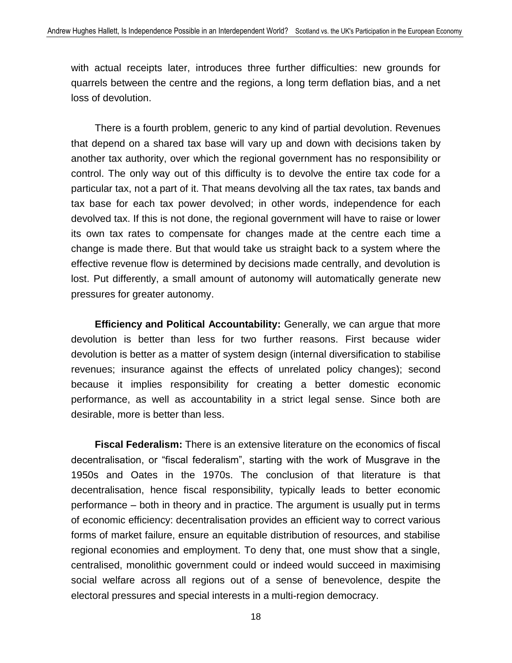with actual receipts later, introduces three further difficulties: new grounds for quarrels between the centre and the regions, a long term deflation bias, and a net loss of devolution.

There is a fourth problem, generic to any kind of partial devolution. Revenues that depend on a shared tax base will vary up and down with decisions taken by another tax authority, over which the regional government has no responsibility or control. The only way out of this difficulty is to devolve the entire tax code for a particular tax, not a part of it. That means devolving all the tax rates, tax bands and tax base for each tax power devolved; in other words, independence for each devolved tax. If this is not done, the regional government will have to raise or lower its own tax rates to compensate for changes made at the centre each time a change is made there. But that would take us straight back to a system where the effective revenue flow is determined by decisions made centrally, and devolution is lost. Put differently, a small amount of autonomy will automatically generate new pressures for greater autonomy.

**Efficiency and Political Accountability:** Generally, we can argue that more devolution is better than less for two further reasons. First because wider devolution is better as a matter of system design (internal diversification to stabilise revenues; insurance against the effects of unrelated policy changes); second because it implies responsibility for creating a better domestic economic performance, as well as accountability in a strict legal sense. Since both are desirable, more is better than less.

**Fiscal Federalism:** There is an extensive literature on the economics of fiscal decentralisation, or "fiscal federalism", starting with the work of Musgrave in the 1950s and Oates in the 1970s. The conclusion of that literature is that decentralisation, hence fiscal responsibility, typically leads to better economic performance – both in theory and in practice. The argument is usually put in terms of economic efficiency: decentralisation provides an efficient way to correct various forms of market failure, ensure an equitable distribution of resources, and stabilise regional economies and employment. To deny that, one must show that a single, centralised, monolithic government could or indeed would succeed in maximising social welfare across all regions out of a sense of benevolence, despite the electoral pressures and special interests in a multi-region democracy.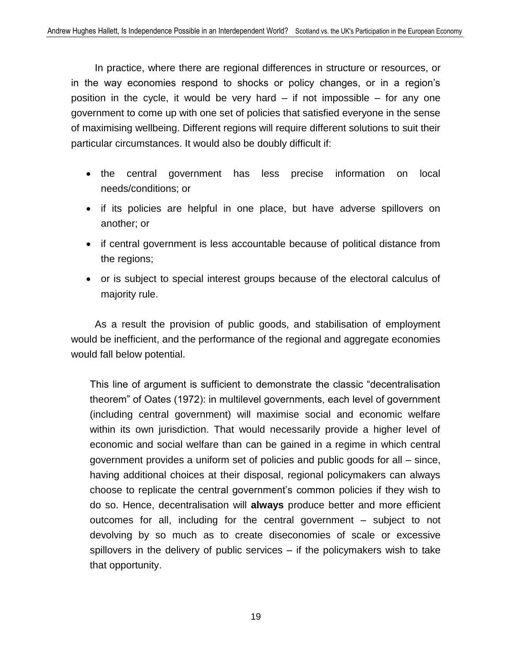In practice, where there are regional differences in structure or resources, or in the way economies respond to shocks or policy changes, or in a region's position in the cycle, it would be very hard  $-$  if not impossible  $-$  for any one government to come up with one set of policies that satisfied everyone in the sense of maximising wellbeing. Different regions will require different solutions to suit their particular circumstances. It would also be doubly difficult if:

- the central government has less precise information on local needs/conditions; or
- if its policies are helpful in one place, but have adverse spillovers on another; or
- if central government is less accountable because of political distance from the regions;
- or is subject to special interest groups because of the electoral calculus of majority rule.

As a result the provision of public goods, and stabilisation of employment would be inefficient, and the performance of the regional and aggregate economies would fall below potential.

This line of argument is sufficient to demonstrate the classic "decentralisation theorem" of Oates (1972): in multilevel governments, each level of government (including central government) will maximise social and economic welfare within its own jurisdiction. That would necessarily provide a higher level of economic and social welfare than can be gained in a regime in which central government provides a uniform set of policies and public goods for all – since, having additional choices at their disposal, regional policymakers can always choose to replicate the central government's common policies if they wish to do so. Hence, decentralisation will **always** produce better and more efficient outcomes for all, including for the central government – subject to not devolving by so much as to create diseconomies of scale or excessive spillovers in the delivery of public services – if the policymakers wish to take that opportunity.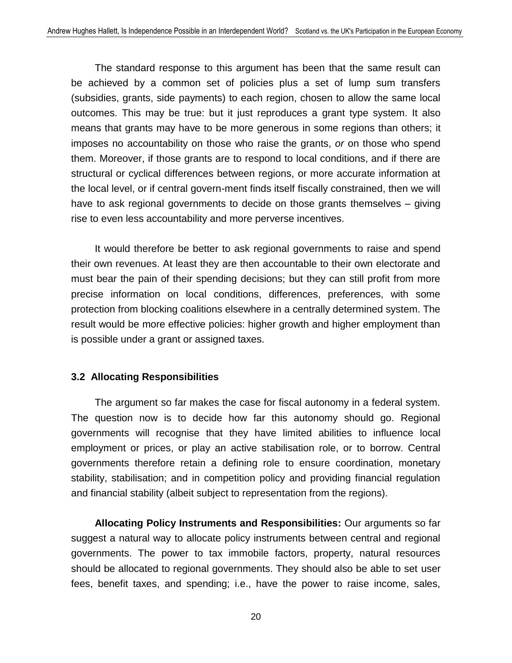The standard response to this argument has been that the same result can be achieved by a common set of policies plus a set of lump sum transfers (subsidies, grants, side payments) to each region, chosen to allow the same local outcomes. This may be true: but it just reproduces a grant type system. It also means that grants may have to be more generous in some regions than others; it imposes no accountability on those who raise the grants, *or* on those who spend them. Moreover, if those grants are to respond to local conditions, and if there are structural or cyclical differences between regions, or more accurate information at the local level, or if central govern-ment finds itself fiscally constrained, then we will have to ask regional governments to decide on those grants themselves – giving rise to even less accountability and more perverse incentives.

It would therefore be better to ask regional governments to raise and spend their own revenues. At least they are then accountable to their own electorate and must bear the pain of their spending decisions; but they can still profit from more precise information on local conditions, differences, preferences, with some protection from blocking coalitions elsewhere in a centrally determined system. The result would be more effective policies: higher growth and higher employment than is possible under a grant or assigned taxes.

#### **3.2 Allocating Responsibilities**

The argument so far makes the case for fiscal autonomy in a federal system. The question now is to decide how far this autonomy should go. Regional governments will recognise that they have limited abilities to influence local employment or prices, or play an active stabilisation role, or to borrow. Central governments therefore retain a defining role to ensure coordination, monetary stability, stabilisation; and in competition policy and providing financial regulation and financial stability (albeit subject to representation from the regions).

**Allocating Policy Instruments and Responsibilities:** Our arguments so far suggest a natural way to allocate policy instruments between central and regional governments. The power to tax immobile factors, property, natural resources should be allocated to regional governments. They should also be able to set user fees, benefit taxes, and spending; i.e., have the power to raise income, sales,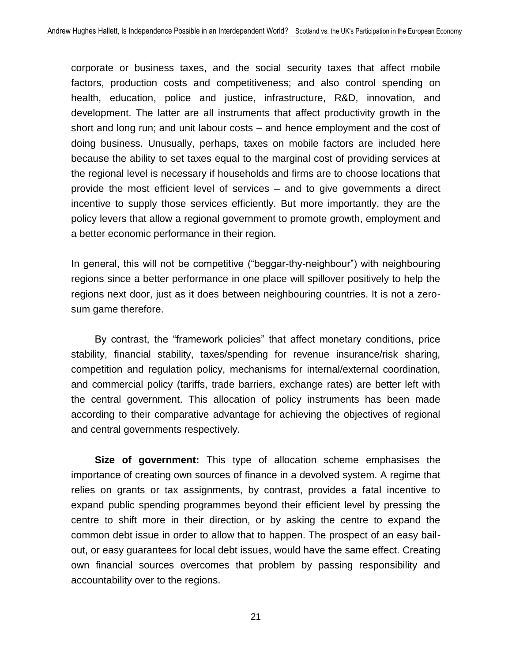corporate or business taxes, and the social security taxes that affect mobile factors, production costs and competitiveness; and also control spending on health, education, police and justice, infrastructure, R&D, innovation, and development. The latter are all instruments that affect productivity growth in the short and long run; and unit labour costs – and hence employment and the cost of doing business. Unusually, perhaps, taxes on mobile factors are included here because the ability to set taxes equal to the marginal cost of providing services at the regional level is necessary if households and firms are to choose locations that provide the most efficient level of services – and to give governments a direct incentive to supply those services efficiently. But more importantly, they are the policy levers that allow a regional government to promote growth, employment and a better economic performance in their region.

In general, this will not be competitive ("beggar-thy-neighbour") with neighbouring regions since a better performance in one place will spillover positively to help the regions next door, just as it does between neighbouring countries. It is not a zerosum game therefore.

By contrast, the "framework policies" that affect monetary conditions, price stability, financial stability, taxes/spending for revenue insurance/risk sharing, competition and regulation policy, mechanisms for internal/external coordination, and commercial policy (tariffs, trade barriers, exchange rates) are better left with the central government. This allocation of policy instruments has been made according to their comparative advantage for achieving the objectives of regional and central governments respectively.

**Size of government:** This type of allocation scheme emphasises the importance of creating own sources of finance in a devolved system. A regime that relies on grants or tax assignments, by contrast, provides a fatal incentive to expand public spending programmes beyond their efficient level by pressing the centre to shift more in their direction, or by asking the centre to expand the common debt issue in order to allow that to happen. The prospect of an easy bailout, or easy guarantees for local debt issues, would have the same effect. Creating own financial sources overcomes that problem by passing responsibility and accountability over to the regions.

21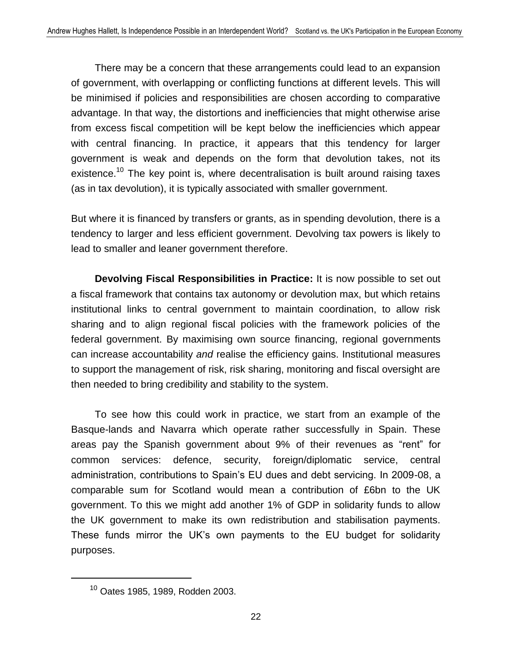There may be a concern that these arrangements could lead to an expansion of government, with overlapping or conflicting functions at different levels. This will be minimised if policies and responsibilities are chosen according to comparative advantage. In that way, the distortions and inefficiencies that might otherwise arise from excess fiscal competition will be kept below the inefficiencies which appear with central financing. In practice, it appears that this tendency for larger government is weak and depends on the form that devolution takes, not its existence.<sup>10</sup> The key point is, where decentralisation is built around raising taxes (as in tax devolution), it is typically associated with smaller government.

But where it is financed by transfers or grants, as in spending devolution, there is a tendency to larger and less efficient government. Devolving tax powers is likely to lead to smaller and leaner government therefore.

**Devolving Fiscal Responsibilities in Practice:** It is now possible to set out a fiscal framework that contains tax autonomy or devolution max, but which retains institutional links to central government to maintain coordination, to allow risk sharing and to align regional fiscal policies with the framework policies of the federal government. By maximising own source financing, regional governments can increase accountability *and* realise the efficiency gains. Institutional measures to support the management of risk, risk sharing, monitoring and fiscal oversight are then needed to bring credibility and stability to the system.

To see how this could work in practice, we start from an example of the Basque-lands and Navarra which operate rather successfully in Spain. These areas pay the Spanish government about 9% of their revenues as "rent" for common services: defence, security, foreign/diplomatic service, central administration, contributions to Spain's EU dues and debt servicing. In 2009-08, a comparable sum for Scotland would mean a contribution of £6bn to the UK government. To this we might add another 1% of GDP in solidarity funds to allow the UK government to make its own redistribution and stabilisation payments. These funds mirror the UK's own payments to the EU budget for solidarity purposes.

<sup>10</sup> Oates 1985, 1989, Rodden 2003.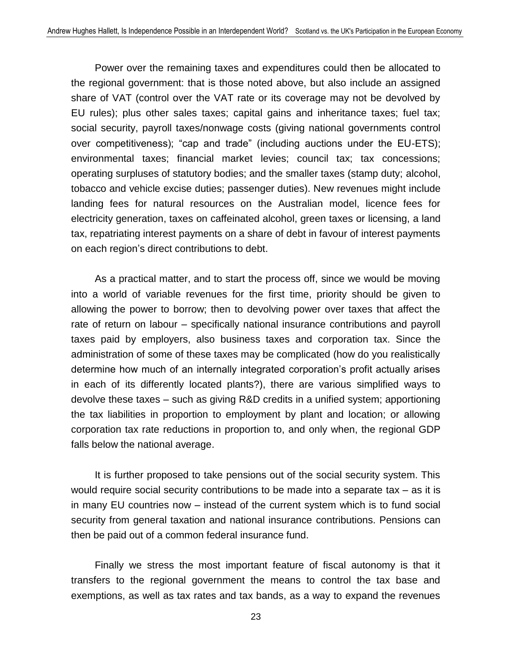Power over the remaining taxes and expenditures could then be allocated to the regional government: that is those noted above, but also include an assigned share of VAT (control over the VAT rate or its coverage may not be devolved by EU rules); plus other sales taxes; capital gains and inheritance taxes; fuel tax; social security, payroll taxes/nonwage costs (giving national governments control over competitiveness); "cap and trade" (including auctions under the EU-ETS); environmental taxes; financial market levies; council tax; tax concessions; operating surpluses of statutory bodies; and the smaller taxes (stamp duty; alcohol, tobacco and vehicle excise duties; passenger duties). New revenues might include landing fees for natural resources on the Australian model, licence fees for electricity generation, taxes on caffeinated alcohol, green taxes or licensing, a land tax, repatriating interest payments on a share of debt in favour of interest payments on each region's direct contributions to debt.

As a practical matter, and to start the process off, since we would be moving into a world of variable revenues for the first time, priority should be given to allowing the power to borrow; then to devolving power over taxes that affect the rate of return on labour – specifically national insurance contributions and payroll taxes paid by employers, also business taxes and corporation tax. Since the administration of some of these taxes may be complicated (how do you realistically determine how much of an internally integrated corporation's profit actually arises in each of its differently located plants?), there are various simplified ways to devolve these taxes – such as giving R&D credits in a unified system; apportioning the tax liabilities in proportion to employment by plant and location; or allowing corporation tax rate reductions in proportion to, and only when, the regional GDP falls below the national average.

It is further proposed to take pensions out of the social security system. This would require social security contributions to be made into a separate tax – as it is in many EU countries now – instead of the current system which is to fund social security from general taxation and national insurance contributions. Pensions can then be paid out of a common federal insurance fund.

Finally we stress the most important feature of fiscal autonomy is that it transfers to the regional government the means to control the tax base and exemptions, as well as tax rates and tax bands, as a way to expand the revenues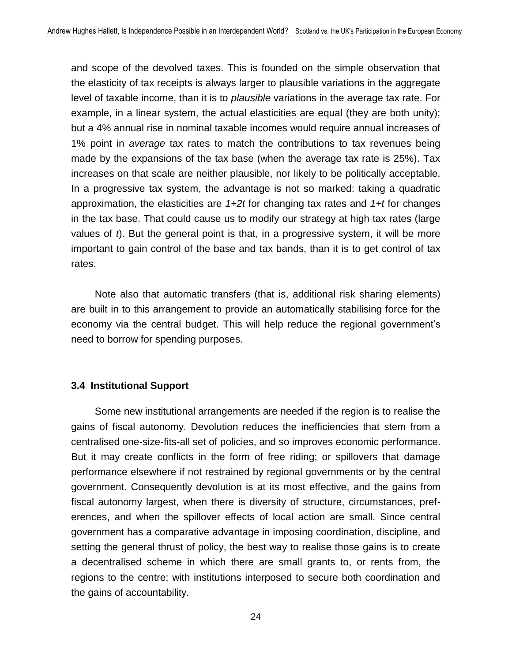and scope of the devolved taxes. This is founded on the simple observation that the elasticity of tax receipts is always larger to plausible variations in the aggregate level of taxable income, than it is to *plausible* variations in the average tax rate. For example, in a linear system, the actual elasticities are equal (they are both unity); but a 4% annual rise in nominal taxable incomes would require annual increases of 1% point in *average* tax rates to match the contributions to tax revenues being made by the expansions of the tax base (when the average tax rate is 25%). Tax increases on that scale are neither plausible, nor likely to be politically acceptable. In a progressive tax system, the advantage is not so marked: taking a quadratic approximation, the elasticities are *1+2t* for changing tax rates and *1+t* for changes in the tax base. That could cause us to modify our strategy at high tax rates (large values of *t*). But the general point is that, in a progressive system, it will be more important to gain control of the base and tax bands, than it is to get control of tax rates.

Note also that automatic transfers (that is, additional risk sharing elements) are built in to this arrangement to provide an automatically stabilising force for the economy via the central budget. This will help reduce the regional government's need to borrow for spending purposes.

#### **3.4 Institutional Support**

Some new institutional arrangements are needed if the region is to realise the gains of fiscal autonomy. Devolution reduces the inefficiencies that stem from a centralised one-size-fits-all set of policies, and so improves economic performance. But it may create conflicts in the form of free riding; or spillovers that damage performance elsewhere if not restrained by regional governments or by the central government. Consequently devolution is at its most effective, and the gains from fiscal autonomy largest, when there is diversity of structure, circumstances, preferences, and when the spillover effects of local action are small. Since central government has a comparative advantage in imposing coordination, discipline, and setting the general thrust of policy, the best way to realise those gains is to create a decentralised scheme in which there are small grants to, or rents from, the regions to the centre; with institutions interposed to secure both coordination and the gains of accountability.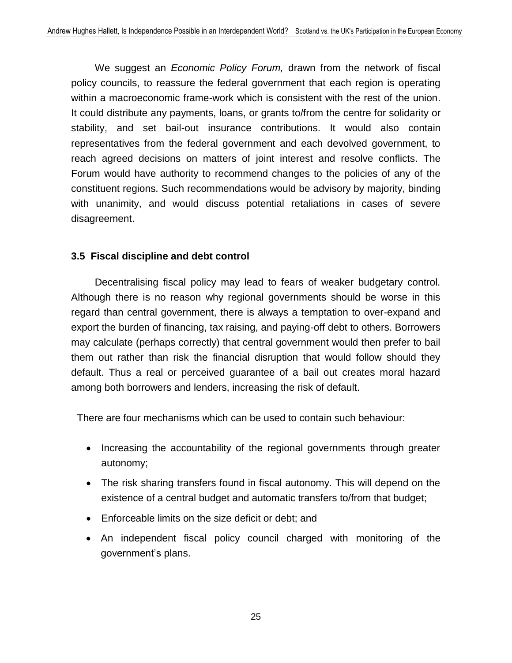We suggest an *Economic Policy Forum,* drawn from the network of fiscal policy councils, to reassure the federal government that each region is operating within a macroeconomic frame-work which is consistent with the rest of the union. It could distribute any payments, loans, or grants to/from the centre for solidarity or stability, and set bail-out insurance contributions. It would also contain representatives from the federal government and each devolved government, to reach agreed decisions on matters of joint interest and resolve conflicts. The Forum would have authority to recommend changes to the policies of any of the constituent regions. Such recommendations would be advisory by majority, binding with unanimity, and would discuss potential retaliations in cases of severe disagreement.

#### **3.5 Fiscal discipline and debt control**

Decentralising fiscal policy may lead to fears of weaker budgetary control. Although there is no reason why regional governments should be worse in this regard than central government, there is always a temptation to over-expand and export the burden of financing, tax raising, and paying-off debt to others. Borrowers may calculate (perhaps correctly) that central government would then prefer to bail them out rather than risk the financial disruption that would follow should they default. Thus a real or perceived guarantee of a bail out creates moral hazard among both borrowers and lenders, increasing the risk of default.

There are four mechanisms which can be used to contain such behaviour:

- Increasing the accountability of the regional governments through greater autonomy;
- The risk sharing transfers found in fiscal autonomy. This will depend on the existence of a central budget and automatic transfers to/from that budget;
- Enforceable limits on the size deficit or debt; and
- An independent fiscal policy council charged with monitoring of the government's plans.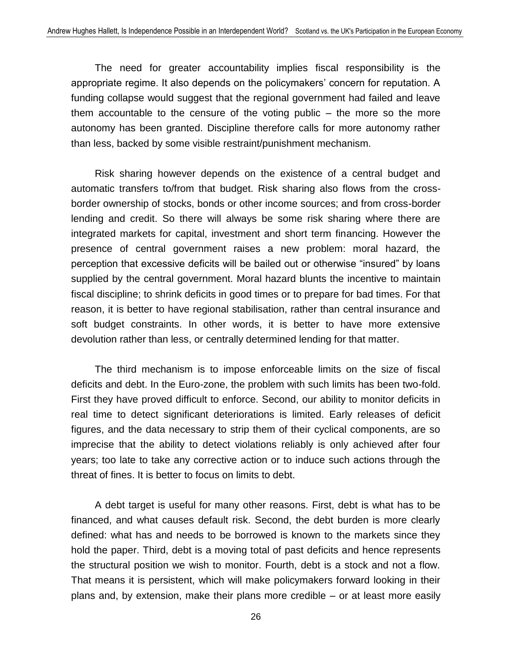The need for greater accountability implies fiscal responsibility is the appropriate regime. It also depends on the policymakers' concern for reputation. A funding collapse would suggest that the regional government had failed and leave them accountable to the censure of the voting public – the more so the more autonomy has been granted. Discipline therefore calls for more autonomy rather than less, backed by some visible restraint/punishment mechanism.

Risk sharing however depends on the existence of a central budget and automatic transfers to/from that budget. Risk sharing also flows from the crossborder ownership of stocks, bonds or other income sources; and from cross-border lending and credit. So there will always be some risk sharing where there are integrated markets for capital, investment and short term financing. However the presence of central government raises a new problem: moral hazard, the perception that excessive deficits will be bailed out or otherwise "insured" by loans supplied by the central government. Moral hazard blunts the incentive to maintain fiscal discipline; to shrink deficits in good times or to prepare for bad times. For that reason, it is better to have regional stabilisation, rather than central insurance and soft budget constraints. In other words, it is better to have more extensive devolution rather than less, or centrally determined lending for that matter.

The third mechanism is to impose enforceable limits on the size of fiscal deficits and debt. In the Euro-zone, the problem with such limits has been two-fold. First they have proved difficult to enforce. Second, our ability to monitor deficits in real time to detect significant deteriorations is limited. Early releases of deficit figures, and the data necessary to strip them of their cyclical components, are so imprecise that the ability to detect violations reliably is only achieved after four years; too late to take any corrective action or to induce such actions through the threat of fines. It is better to focus on limits to debt.

A debt target is useful for many other reasons. First, debt is what has to be financed, and what causes default risk. Second, the debt burden is more clearly defined: what has and needs to be borrowed is known to the markets since they hold the paper. Third, debt is a moving total of past deficits and hence represents the structural position we wish to monitor. Fourth, debt is a stock and not a flow. That means it is persistent, which will make policymakers forward looking in their plans and, by extension, make their plans more credible – or at least more easily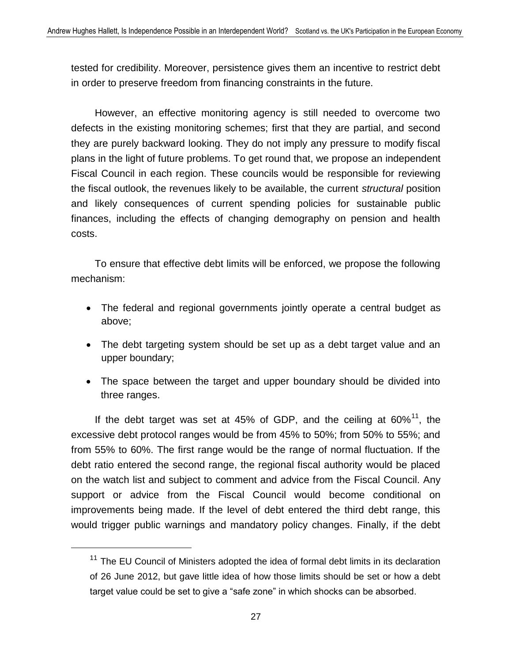tested for credibility. Moreover, persistence gives them an incentive to restrict debt in order to preserve freedom from financing constraints in the future.

However, an effective monitoring agency is still needed to overcome two defects in the existing monitoring schemes; first that they are partial, and second they are purely backward looking. They do not imply any pressure to modify fiscal plans in the light of future problems. To get round that, we propose an independent Fiscal Council in each region. These councils would be responsible for reviewing the fiscal outlook, the revenues likely to be available, the current *structural* position and likely consequences of current spending policies for sustainable public finances, including the effects of changing demography on pension and health costs.

To ensure that effective debt limits will be enforced, we propose the following mechanism:

- The federal and regional governments jointly operate a central budget as above;
- The debt targeting system should be set up as a debt target value and an upper boundary;
- The space between the target and upper boundary should be divided into three ranges.

If the debt target was set at 45% of GDP, and the ceiling at  $60\%$ <sup>11</sup>, the excessive debt protocol ranges would be from 45% to 50%; from 50% to 55%; and from 55% to 60%. The first range would be the range of normal fluctuation. If the debt ratio entered the second range, the regional fiscal authority would be placed on the watch list and subject to comment and advice from the Fiscal Council. Any support or advice from the Fiscal Council would become conditional on improvements being made. If the level of debt entered the third debt range, this would trigger public warnings and mandatory policy changes. Finally, if the debt

<sup>&</sup>lt;sup>11</sup> The EU Council of Ministers adopted the idea of formal debt limits in its declaration of 26 June 2012, but gave little idea of how those limits should be set or how a debt target value could be set to give a "safe zone" in which shocks can be absorbed.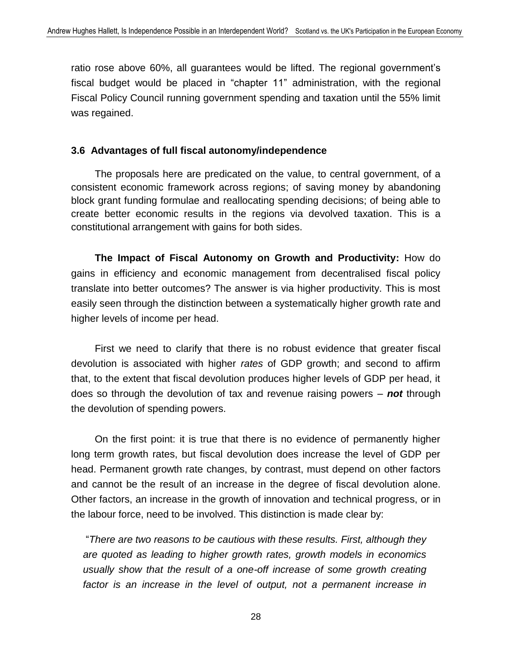ratio rose above 60%, all guarantees would be lifted. The regional government's fiscal budget would be placed in "chapter 11" administration, with the regional Fiscal Policy Council running government spending and taxation until the 55% limit was regained.

#### **3.6 Advantages of full fiscal autonomy/independence**

The proposals here are predicated on the value, to central government, of a consistent economic framework across regions; of saving money by abandoning block grant funding formulae and reallocating spending decisions; of being able to create better economic results in the regions via devolved taxation. This is a constitutional arrangement with gains for both sides.

**The Impact of Fiscal Autonomy on Growth and Productivity:** How do gains in efficiency and economic management from decentralised fiscal policy translate into better outcomes? The answer is via higher productivity. This is most easily seen through the distinction between a systematically higher growth rate and higher levels of income per head.

First we need to clarify that there is no robust evidence that greater fiscal devolution is associated with higher *rates* of GDP growth; and second to affirm that, to the extent that fiscal devolution produces higher levels of GDP per head, it does so through the devolution of tax and revenue raising powers – *not* through the devolution of spending powers.

On the first point: it is true that there is no evidence of permanently higher long term growth rates, but fiscal devolution does increase the level of GDP per head. Permanent growth rate changes, by contrast, must depend on other factors and cannot be the result of an increase in the degree of fiscal devolution alone. Other factors, an increase in the growth of innovation and technical progress, or in the labour force, need to be involved. This distinction is made clear by:

"*There are two reasons to be cautious with these results. First, although they are quoted as leading to higher growth rates, growth models in economics usually show that the result of a one-off increase of some growth creating*  factor is an increase in the level of output, not a permanent increase in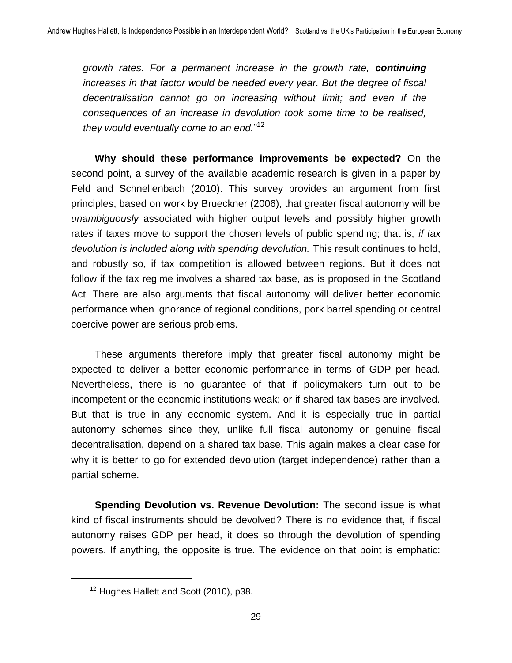*growth rates. For a permanent increase in the growth rate, continuing increases in that factor would be needed every year. But the degree of fiscal decentralisation cannot go on increasing without limit; and even if the consequences of an increase in devolution took some time to be realised, they would eventually come to an end.*" 12

**Why should these performance improvements be expected?** On the second point, a survey of the available academic research is given in a paper by Feld and Schnellenbach (2010). This survey provides an argument from first principles, based on work by Brueckner (2006), that greater fiscal autonomy will be *unambiguously* associated with higher output levels and possibly higher growth rates if taxes move to support the chosen levels of public spending; that is, *if tax devolution is included along with spending devolution.* This result continues to hold, and robustly so, if tax competition is allowed between regions. But it does not follow if the tax regime involves a shared tax base, as is proposed in the Scotland Act. There are also arguments that fiscal autonomy will deliver better economic performance when ignorance of regional conditions, pork barrel spending or central coercive power are serious problems.

These arguments therefore imply that greater fiscal autonomy might be expected to deliver a better economic performance in terms of GDP per head. Nevertheless, there is no guarantee of that if policymakers turn out to be incompetent or the economic institutions weak; or if shared tax bases are involved. But that is true in any economic system. And it is especially true in partial autonomy schemes since they, unlike full fiscal autonomy or genuine fiscal decentralisation, depend on a shared tax base. This again makes a clear case for why it is better to go for extended devolution (target independence) rather than a partial scheme.

**Spending Devolution vs. Revenue Devolution:** The second issue is what kind of fiscal instruments should be devolved? There is no evidence that, if fiscal autonomy raises GDP per head, it does so through the devolution of spending powers. If anything, the opposite is true. The evidence on that point is emphatic:

<sup>&</sup>lt;sup>12</sup> Hughes Hallett and Scott (2010), p38.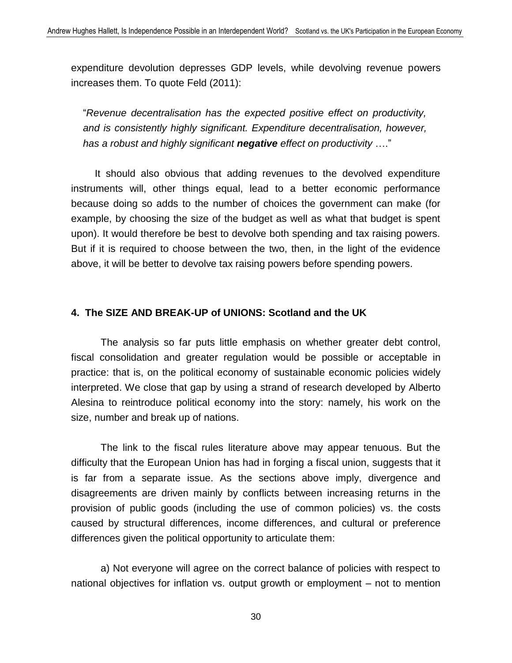expenditure devolution depresses GDP levels, while devolving revenue powers increases them. To quote Feld (2011):

"*Revenue decentralisation has the expected positive effect on productivity, and is consistently highly significant. Expenditure decentralisation, however, has a robust and highly significant negative effect on productivity* …."

It should also obvious that adding revenues to the devolved expenditure instruments will, other things equal, lead to a better economic performance because doing so adds to the number of choices the government can make (for example, by choosing the size of the budget as well as what that budget is spent upon). It would therefore be best to devolve both spending and tax raising powers. But if it is required to choose between the two, then, in the light of the evidence above, it will be better to devolve tax raising powers before spending powers.

#### **4. The SIZE AND BREAK-UP of UNIONS: Scotland and the UK**

The analysis so far puts little emphasis on whether greater debt control, fiscal consolidation and greater regulation would be possible or acceptable in practice: that is, on the political economy of sustainable economic policies widely interpreted. We close that gap by using a strand of research developed by Alberto Alesina to reintroduce political economy into the story: namely, his work on the size, number and break up of nations.

The link to the fiscal rules literature above may appear tenuous. But the difficulty that the European Union has had in forging a fiscal union, suggests that it is far from a separate issue. As the sections above imply, divergence and disagreements are driven mainly by conflicts between increasing returns in the provision of public goods (including the use of common policies) vs. the costs caused by structural differences, income differences, and cultural or preference differences given the political opportunity to articulate them:

a) Not everyone will agree on the correct balance of policies with respect to national objectives for inflation vs. output growth or employment – not to mention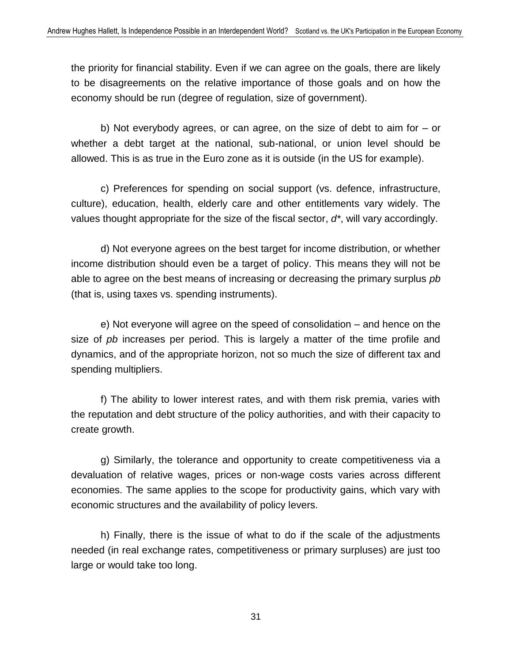the priority for financial stability. Even if we can agree on the goals, there are likely to be disagreements on the relative importance of those goals and on how the economy should be run (degree of regulation, size of government).

b) Not everybody agrees, or can agree, on the size of debt to aim for – or whether a debt target at the national, sub-national, or union level should be allowed. This is as true in the Euro zone as it is outside (in the US for example).

c) Preferences for spending on social support (vs. defence, infrastructure, culture), education, health, elderly care and other entitlements vary widely. The values thought appropriate for the size of the fiscal sector, *d\**, will vary accordingly.

d) Not everyone agrees on the best target for income distribution, or whether income distribution should even be a target of policy. This means they will not be able to agree on the best means of increasing or decreasing the primary surplus *pb* (that is, using taxes vs. spending instruments).

e) Not everyone will agree on the speed of consolidation – and hence on the size of *pb* increases per period. This is largely a matter of the time profile and dynamics, and of the appropriate horizon, not so much the size of different tax and spending multipliers.

f) The ability to lower interest rates, and with them risk premia, varies with the reputation and debt structure of the policy authorities, and with their capacity to create growth.

g) Similarly, the tolerance and opportunity to create competitiveness via a devaluation of relative wages, prices or non-wage costs varies across different economies. The same applies to the scope for productivity gains, which vary with economic structures and the availability of policy levers.

h) Finally, there is the issue of what to do if the scale of the adjustments needed (in real exchange rates, competitiveness or primary surpluses) are just too large or would take too long.

31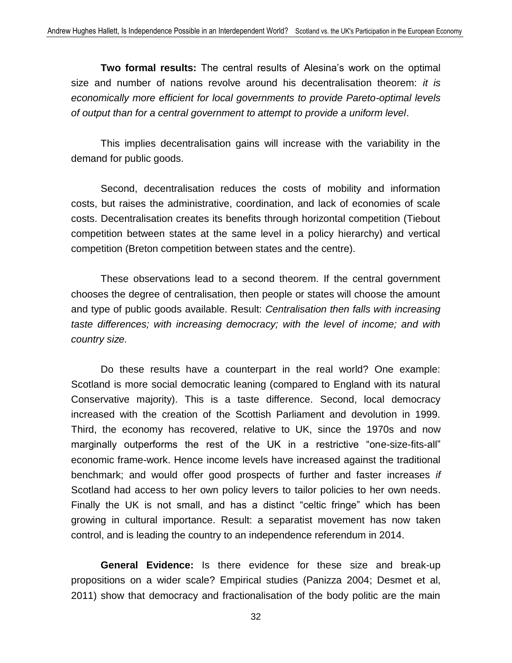**Two formal results:** The central results of Alesina's work on the optimal size and number of nations revolve around his decentralisation theorem: *it is economically more efficient for local governments to provide Pareto-optimal levels of output than for a central government to attempt to provide a uniform level*.

This implies decentralisation gains will increase with the variability in the demand for public goods.

Second, decentralisation reduces the costs of mobility and information costs, but raises the administrative, coordination, and lack of economies of scale costs. Decentralisation creates its benefits through horizontal competition (Tiebout competition between states at the same level in a policy hierarchy) and vertical competition (Breton competition between states and the centre).

These observations lead to a second theorem. If the central government chooses the degree of centralisation, then people or states will choose the amount and type of public goods available. Result: *Centralisation then falls with increasing taste differences; with increasing democracy; with the level of income; and with country size.* 

Do these results have a counterpart in the real world? One example: Scotland is more social democratic leaning (compared to England with its natural Conservative majority). This is a taste difference. Second, local democracy increased with the creation of the Scottish Parliament and devolution in 1999. Third, the economy has recovered, relative to UK, since the 1970s and now marginally outperforms the rest of the UK in a restrictive "one-size-fits-all" economic frame-work. Hence income levels have increased against the traditional benchmark; and would offer good prospects of further and faster increases *if* Scotland had access to her own policy levers to tailor policies to her own needs. Finally the UK is not small, and has a distinct "celtic fringe" which has been growing in cultural importance. Result: a separatist movement has now taken control, and is leading the country to an independence referendum in 2014.

**General Evidence:** Is there evidence for these size and break-up propositions on a wider scale? Empirical studies (Panizza 2004; Desmet et al, 2011) show that democracy and fractionalisation of the body politic are the main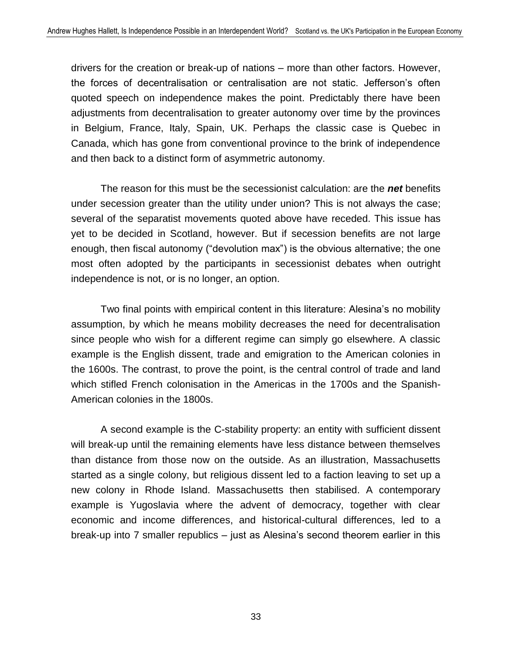drivers for the creation or break-up of nations – more than other factors. However, the forces of decentralisation or centralisation are not static. Jefferson's often quoted speech on independence makes the point. Predictably there have been adjustments from decentralisation to greater autonomy over time by the provinces in Belgium, France, Italy, Spain, UK. Perhaps the classic case is Quebec in Canada, which has gone from conventional province to the brink of independence and then back to a distinct form of asymmetric autonomy.

The reason for this must be the secessionist calculation: are the *net* benefits under secession greater than the utility under union? This is not always the case; several of the separatist movements quoted above have receded. This issue has yet to be decided in Scotland, however. But if secession benefits are not large enough, then fiscal autonomy ("devolution max") is the obvious alternative; the one most often adopted by the participants in secessionist debates when outright independence is not, or is no longer, an option.

Two final points with empirical content in this literature: Alesina's no mobility assumption, by which he means mobility decreases the need for decentralisation since people who wish for a different regime can simply go elsewhere. A classic example is the English dissent, trade and emigration to the American colonies in the 1600s. The contrast, to prove the point, is the central control of trade and land which stifled French colonisation in the Americas in the 1700s and the Spanish-American colonies in the 1800s.

A second example is the C-stability property: an entity with sufficient dissent will break-up until the remaining elements have less distance between themselves than distance from those now on the outside. As an illustration, Massachusetts started as a single colony, but religious dissent led to a faction leaving to set up a new colony in Rhode Island. Massachusetts then stabilised. A contemporary example is Yugoslavia where the advent of democracy, together with clear economic and income differences, and historical-cultural differences, led to a break-up into 7 smaller republics – just as Alesina's second theorem earlier in this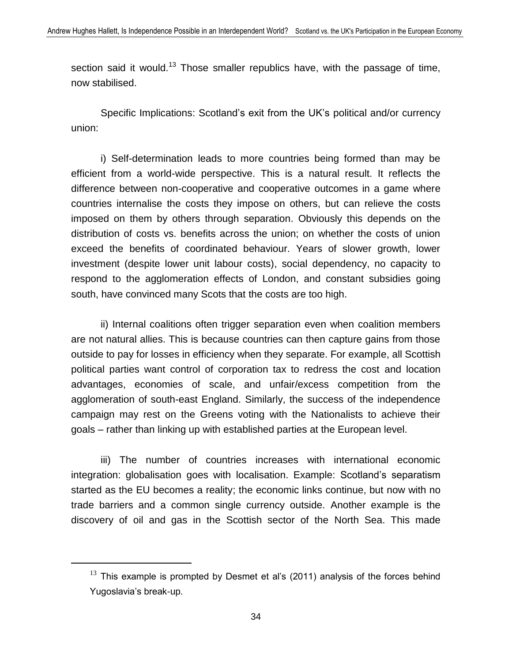section said it would.<sup>13</sup> Those smaller republics have, with the passage of time, now stabilised.

Specific Implications: Scotland's exit from the UK's political and/or currency union:

i) Self-determination leads to more countries being formed than may be efficient from a world-wide perspective. This is a natural result. It reflects the difference between non-cooperative and cooperative outcomes in a game where countries internalise the costs they impose on others, but can relieve the costs imposed on them by others through separation. Obviously this depends on the distribution of costs vs. benefits across the union; on whether the costs of union exceed the benefits of coordinated behaviour. Years of slower growth, lower investment (despite lower unit labour costs), social dependency, no capacity to respond to the agglomeration effects of London, and constant subsidies going south, have convinced many Scots that the costs are too high.

ii) Internal coalitions often trigger separation even when coalition members are not natural allies. This is because countries can then capture gains from those outside to pay for losses in efficiency when they separate. For example, all Scottish political parties want control of corporation tax to redress the cost and location advantages, economies of scale, and unfair/excess competition from the agglomeration of south-east England. Similarly, the success of the independence campaign may rest on the Greens voting with the Nationalists to achieve their goals – rather than linking up with established parties at the European level.

iii) The number of countries increases with international economic integration: globalisation goes with localisation. Example: Scotland's separatism started as the EU becomes a reality; the economic links continue, but now with no trade barriers and a common single currency outside. Another example is the discovery of oil and gas in the Scottish sector of the North Sea. This made

 $13$  This example is prompted by Desmet et al's (2011) analysis of the forces behind Yugoslavia's break-up.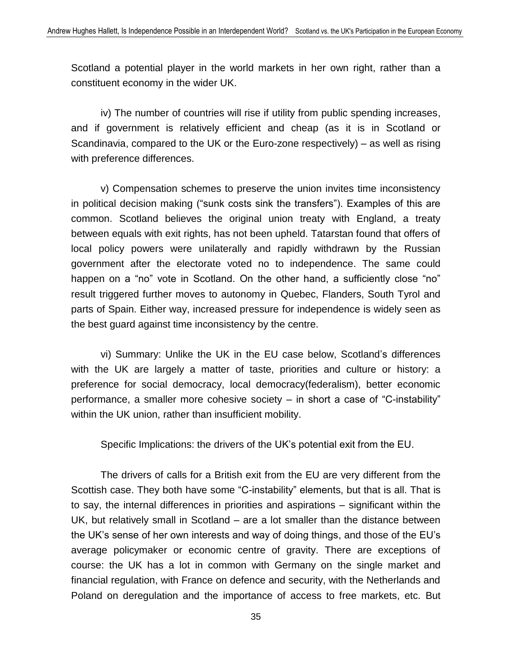Scotland a potential player in the world markets in her own right, rather than a constituent economy in the wider UK.

iv) The number of countries will rise if utility from public spending increases, and if government is relatively efficient and cheap (as it is in Scotland or Scandinavia, compared to the UK or the Euro-zone respectively) – as well as rising with preference differences.

v) Compensation schemes to preserve the union invites time inconsistency in political decision making ("sunk costs sink the transfers"). Examples of this are common. Scotland believes the original union treaty with England, a treaty between equals with exit rights, has not been upheld. Tatarstan found that offers of local policy powers were unilaterally and rapidly withdrawn by the Russian government after the electorate voted no to independence. The same could happen on a "no" vote in Scotland. On the other hand, a sufficiently close "no" result triggered further moves to autonomy in Quebec, Flanders, South Tyrol and parts of Spain. Either way, increased pressure for independence is widely seen as the best guard against time inconsistency by the centre.

vi) Summary: Unlike the UK in the EU case below, Scotland's differences with the UK are largely a matter of taste, priorities and culture or history: a preference for social democracy, local democracy(federalism), better economic performance, a smaller more cohesive society – in short a case of "C-instability" within the UK union, rather than insufficient mobility.

Specific Implications: the drivers of the UK's potential exit from the EU.

The drivers of calls for a British exit from the EU are very different from the Scottish case. They both have some "C-instability" elements, but that is all. That is to say, the internal differences in priorities and aspirations – significant within the UK, but relatively small in Scotland – are a lot smaller than the distance between the UK's sense of her own interests and way of doing things, and those of the EU's average policymaker or economic centre of gravity. There are exceptions of course: the UK has a lot in common with Germany on the single market and financial regulation, with France on defence and security, with the Netherlands and Poland on deregulation and the importance of access to free markets, etc. But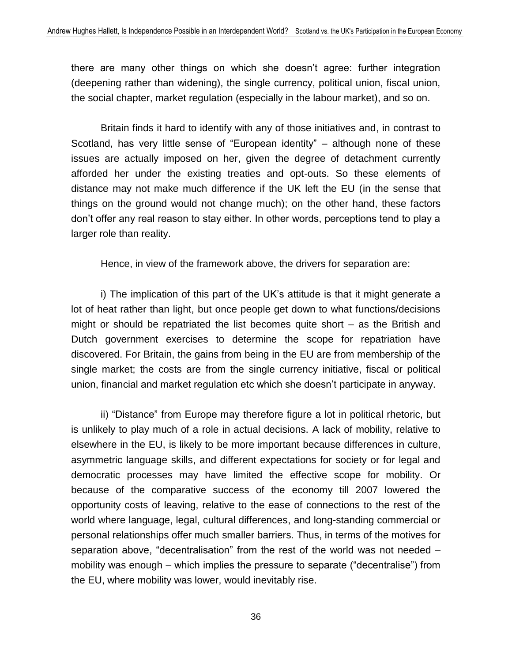there are many other things on which she doesn't agree: further integration (deepening rather than widening), the single currency, political union, fiscal union, the social chapter, market regulation (especially in the labour market), and so on.

Britain finds it hard to identify with any of those initiatives and, in contrast to Scotland, has very little sense of "European identity" – although none of these issues are actually imposed on her, given the degree of detachment currently afforded her under the existing treaties and opt-outs. So these elements of distance may not make much difference if the UK left the EU (in the sense that things on the ground would not change much); on the other hand, these factors don't offer any real reason to stay either. In other words, perceptions tend to play a larger role than reality.

Hence, in view of the framework above, the drivers for separation are:

i) The implication of this part of the UK's attitude is that it might generate a lot of heat rather than light, but once people get down to what functions/decisions might or should be repatriated the list becomes quite short – as the British and Dutch government exercises to determine the scope for repatriation have discovered. For Britain, the gains from being in the EU are from membership of the single market; the costs are from the single currency initiative, fiscal or political union, financial and market regulation etc which she doesn't participate in anyway.

ii) "Distance" from Europe may therefore figure a lot in political rhetoric, but is unlikely to play much of a role in actual decisions. A lack of mobility, relative to elsewhere in the EU, is likely to be more important because differences in culture, asymmetric language skills, and different expectations for society or for legal and democratic processes may have limited the effective scope for mobility. Or because of the comparative success of the economy till 2007 lowered the opportunity costs of leaving, relative to the ease of connections to the rest of the world where language, legal, cultural differences, and long-standing commercial or personal relationships offer much smaller barriers. Thus, in terms of the motives for separation above, "decentralisation" from the rest of the world was not needed – mobility was enough – which implies the pressure to separate ("decentralise") from the EU, where mobility was lower, would inevitably rise.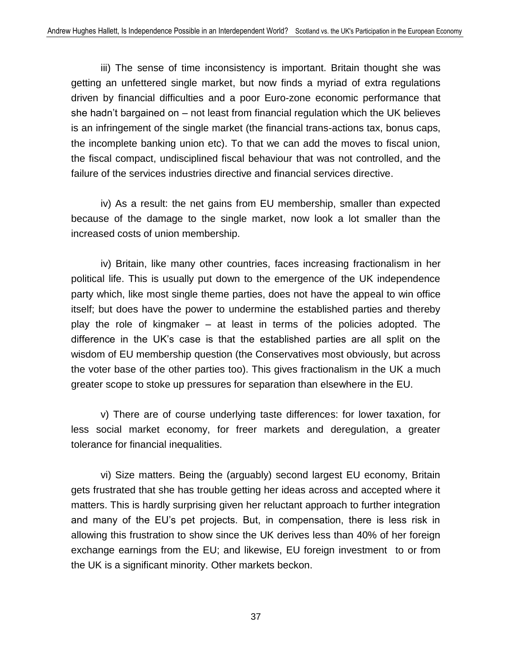iii) The sense of time inconsistency is important. Britain thought she was getting an unfettered single market, but now finds a myriad of extra regulations driven by financial difficulties and a poor Euro-zone economic performance that she hadn't bargained on – not least from financial regulation which the UK believes is an infringement of the single market (the financial trans-actions tax, bonus caps, the incomplete banking union etc). To that we can add the moves to fiscal union, the fiscal compact, undisciplined fiscal behaviour that was not controlled, and the failure of the services industries directive and financial services directive.

iv) As a result: the net gains from EU membership, smaller than expected because of the damage to the single market, now look a lot smaller than the increased costs of union membership.

iv) Britain, like many other countries, faces increasing fractionalism in her political life. This is usually put down to the emergence of the UK independence party which, like most single theme parties, does not have the appeal to win office itself; but does have the power to undermine the established parties and thereby play the role of kingmaker – at least in terms of the policies adopted. The difference in the UK's case is that the established parties are all split on the wisdom of EU membership question (the Conservatives most obviously, but across the voter base of the other parties too). This gives fractionalism in the UK a much greater scope to stoke up pressures for separation than elsewhere in the EU.

v) There are of course underlying taste differences: for lower taxation, for less social market economy, for freer markets and deregulation, a greater tolerance for financial inequalities.

vi) Size matters. Being the (arguably) second largest EU economy, Britain gets frustrated that she has trouble getting her ideas across and accepted where it matters. This is hardly surprising given her reluctant approach to further integration and many of the EU's pet projects. But, in compensation, there is less risk in allowing this frustration to show since the UK derives less than 40% of her foreign exchange earnings from the EU; and likewise, EU foreign investment to or from the UK is a significant minority. Other markets beckon.

37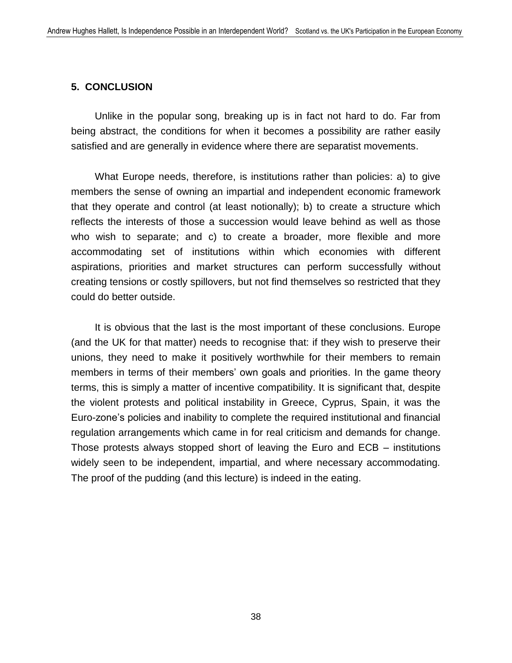#### **5. CONCLUSION**

Unlike in the popular song, breaking up is in fact not hard to do. Far from being abstract, the conditions for when it becomes a possibility are rather easily satisfied and are generally in evidence where there are separatist movements.

What Europe needs, therefore, is institutions rather than policies: a) to give members the sense of owning an impartial and independent economic framework that they operate and control (at least notionally); b) to create a structure which reflects the interests of those a succession would leave behind as well as those who wish to separate; and c) to create a broader, more flexible and more accommodating set of institutions within which economies with different aspirations, priorities and market structures can perform successfully without creating tensions or costly spillovers, but not find themselves so restricted that they could do better outside.

It is obvious that the last is the most important of these conclusions. Europe (and the UK for that matter) needs to recognise that: if they wish to preserve their unions, they need to make it positively worthwhile for their members to remain members in terms of their members' own goals and priorities. In the game theory terms, this is simply a matter of incentive compatibility. It is significant that, despite the violent protests and political instability in Greece, Cyprus, Spain, it was the Euro-zone's policies and inability to complete the required institutional and financial regulation arrangements which came in for real criticism and demands for change. Those protests always stopped short of leaving the Euro and ECB – institutions widely seen to be independent, impartial, and where necessary accommodating. The proof of the pudding (and this lecture) is indeed in the eating.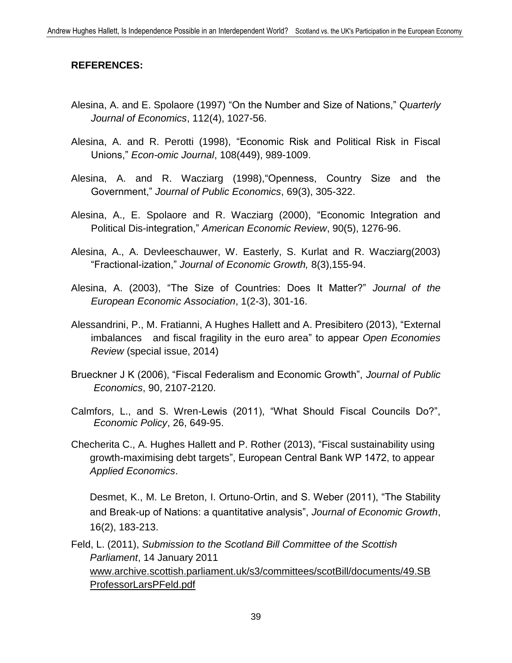#### **REFERENCES:**

- Alesina, A. and E. Spolaore (1997) "On the Number and Size of Nations," *Quarterly Journal of Economics*, 112(4), 1027-56.
- Alesina, A. and R. Perotti (1998), "Economic Risk and Political Risk in Fiscal Unions," *Econ-omic Journal*, 108(449), 989-1009.
- Alesina, A. and R. Wacziarg (1998),"Openness, Country Size and the Government," *Journal of Public Economics*, 69(3), 305-322.
- Alesina, A., E. Spolaore and R. Wacziarg (2000), "Economic Integration and Political Dis-integration," *American Economic Review*, 90(5), 1276-96.
- Alesina, A., A. Devleeschauwer, W. Easterly, S. Kurlat and R. Wacziarg(2003) "Fractional-ization," *Journal of Economic Growth,* 8(3),155-94.
- Alesina, A. (2003), "The Size of Countries: Does It Matter?" *Journal of the European Economic Association*, 1(2-3), 301-16.
- Alessandrini, P., M. Fratianni, A Hughes Hallett and A. Presibitero (2013), "External imbalances and fiscal fragility in the euro area" to appear *Open Economies Review* (special issue, 2014)
- Brueckner J K (2006), "Fiscal Federalism and Economic Growth", *Journal of Public Economics*, 90, 2107-2120.
- Calmfors, L., and S. Wren-Lewis (2011), "What Should Fiscal Councils Do?", *Economic Policy*, 26, 649-95.
- Checherita C., A. Hughes Hallett and P. Rother (2013), "Fiscal sustainability using growth-maximising debt targets", European Central Bank WP 1472, to appear *Applied Economics*.

Desmet, K., M. Le Breton, I. Ortuno-Ortin, and S. Weber (2011), "The Stability and Break-up of Nations: a quantitative analysis", *Journal of Economic Growth*, 16(2), 183-213.

Feld, L. (2011), *Submission to the Scotland Bill Committee of the Scottish Parliament*, 14 January 2011 [www.archive.scottish.parliament.uk/s3/committees/scotBill/documents/49.SB](http://www.archive.scottish.parliament.uk/s3/committees/scotBill/documents/49.SB) ProfessorLarsPFeld.pdf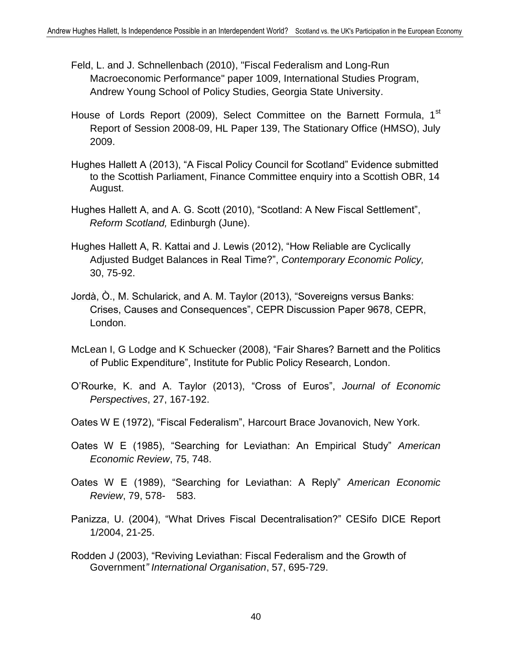- Feld, L. and J. Schnellenbach (2010), ["Fiscal Federalism and Long-Run](http://ideas.repec.org/p/ays/ispwps/paper1009.html)  [Macroeconomic Performance"](http://ideas.repec.org/p/ays/ispwps/paper1009.html) paper 1009, International Studies Program, Andrew Young School of Policy Studies, Georgia State University.
- House of Lords Report (2009), Select Committee on the Barnett Formula, 1<sup>st</sup> Report of Session 2008-09, HL Paper 139, The Stationary Office (HMSO), July 2009.
- Hughes Hallett A (2013), "A Fiscal Policy Council for Scotland" Evidence submitted to the Scottish Parliament, Finance Committee enquiry into a Scottish OBR, 14 August.
- Hughes Hallett A, and A. G. Scott (2010), "Scotland: A New Fiscal Settlement", *Reform Scotland,* Edinburgh (June).
- Hughes Hallett A, R. Kattai and J. Lewis (2012), "How Reliable are Cyclically Adjusted Budget Balances in Real Time?", *Contemporary Economic Policy,* 30, 75-92.
- Jordà, Ò., M. Schularick, and A. M. Taylor (2013), "Sovereigns versus Banks: Crises, Causes and Consequences", CEPR Discussion Paper 9678, CEPR, London.
- McLean I, G Lodge and K Schuecker (2008), "Fair Shares? Barnett and the Politics of Public Expenditure", Institute for Public Policy Research, London.
- O'Rourke, K. and A. Taylor (2013), "Cross of Euros", *Journal of Economic Perspectives*, 27, 167-192.
- Oates W E (1972), "Fiscal Federalism", Harcourt Brace Jovanovich, New York.
- Oates W E (1985), "Searching for Leviathan: An Empirical Study" *American Economic Review*, 75, 748.
- Oates W E (1989), "Searching for Leviathan: A Reply" *American Economic Review*, 79, 578- 583.
- Panizza, U. (2004), "What Drives Fiscal Decentralisation?" CESifo DICE Report 1/2004, 21-25.
- Rodden J (2003), "Reviving Leviathan: Fiscal Federalism and the Growth of Government*" International Organisation*, 57, 695-729.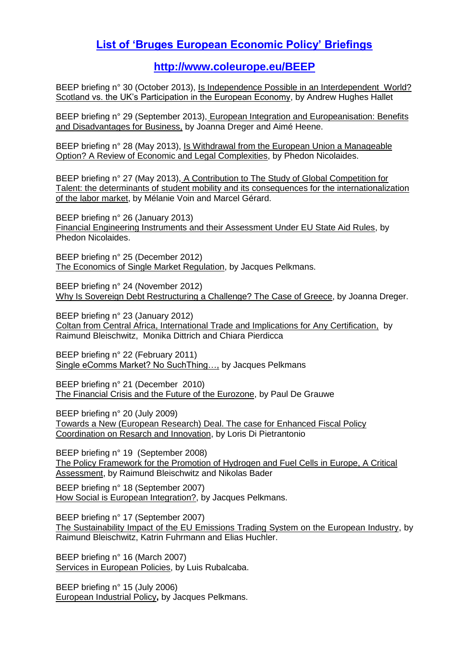# **[List of 'Bruges European Economic Policy' Briefings](https://www.coleurope.eu/website/study/european-economic-studies/research-activities/bruges-european-economic-policy)**

**<http://www.coleurope.eu/BEEP>**

BEEP briefing n° 30 (October 2013), Is Independence Possible in an Interdependent World? [Scotland vs. the UK's Participation in the European Economy,](https://www.coleurope.eu/website/study/european-economic-studies/research-activities/bruges-european-economic-policy) by Andrew Hughes Hallet

BEEP briefing n° 29 (September 2013), [European Integration and Europeanisation: Benefits](http://www.coleurope.eu/sites/default/files/research-paper/beep29_0.pdf)  [and Disadvantages for Business,](http://www.coleurope.eu/sites/default/files/research-paper/beep29_0.pdf) by Joanna Dreger and Aimé Heene.

BEEP briefing n° 28 (May 2013), [Is Withdrawal from the European Union a Manageable](http://www.coleurope.eu/sites/default/files/research-paper/beep28_0.pdf)  [Option? A Review of Economic and Legal Complexities,](http://www.coleurope.eu/sites/default/files/research-paper/beep28_0.pdf) by Phedon Nicolaides.

BEEP briefing n° 27 (May 2013), [A Contribution to The Study of Global Competition for](http://www.coleurope.eu/sites/default/files/research-paper/beep_27.pdf)  Talent: the determinants [of student mobility and its consequences for the internationalization](http://www.coleurope.eu/sites/default/files/research-paper/beep_27.pdf)  [of the labor market,](http://www.coleurope.eu/sites/default/files/research-paper/beep_27.pdf) by Mélanie Voin and Marcel Gérard.

BEEP briefing n° 26 (January 2013) [Financial Engineering Instruments and their Assessment Under EU State Aid Rules,](http://www.coleurope.eu/sites/default/files/research-paper/beep26.pdf) by Phedon Nicolaides.

BEEP briefing n° 25 (December 2012) [The Economics of Single Market Regulation,](http://www.coleurope.eu/sites/default/files/research-paper/beep25.pdf) by Jacques Pelkmans.

BEEP briefing n° 24 (November 2012) [Why Is Sovereign Debt Restructuring a Challenge? The Case of Greece,](http://www.coleurope.eu/sites/default/files/research-paper/beep24.pdf) by Joanna Dreger.

BEEP briefing n° 23 (January 2012) [Coltan from Central Africa, International Trade and Implications for Any Certification,](http://www.coleurope.eu/sites/default/files/research-paper/beep23.pdf) by Raimund Bleischwitz, Monika Dittrich and Chiara Pierdicca

BEEP briefing n° 22 (February 2011) [Single eComms Market? No SuchThing…,](http://www.coleurope.eu/sites/default/files/research-paper/beep22.pdf) by Jacques Pelkmans

BEEP briefing n° 21 (December 2010) [The Financial Crisis and the Future of the Eurozone,](http://www.coleurope.eu/content/studyprogrammes/eco/publications/BEEPs/BEEP21.pdf) by Paul De Grauwe

BEEP briefing n° 20 (July 2009) [Towards a New \(European Research\) Deal. The case for Enhanced Fiscal Policy](http://www.coleurope.eu/content/studyprogrammes/eco/publications/BEEPs/BEEP20.pdf)  [Coordination on Resarch and Innovation,](http://www.coleurope.eu/content/studyprogrammes/eco/publications/BEEPs/BEEP20.pdf) by Loris Di Pietrantonio

BEEP briefing n° 19 (September 2008) [The Policy Framework for the Promotion of Hydrogen and Fuel Cells in Europe, A Critical](http://www.coleurop.be/content/studyprogrammes/eco/publications/BEEPs/BEEP19.pdf)  [Assessment,](http://www.coleurop.be/content/studyprogrammes/eco/publications/BEEPs/BEEP19.pdf) by Raimund Bleischwitz and Nikolas Bader

BEEP briefing n° 18 (September 2007) [How Social is European Integration?,](http://www.coleurop.be/content/studyprogrammes/eco/publications/BEEPs/BEEP18.pdf) by Jacques Pelkmans.

BEEP briefing n° 17 (September 2007) [The Sustainability Impact of the EU Emissions Trading System on the European Industry,](http://www.coleurop.be/content/studyprogrammes/eco/publications/BEEPs/BEEP17.pdf) by Raimund Bleischwitz, Katrin Fuhrmann and Elias Huchler.

BEEP briefing n° 16 (March 2007) [Services in European Policies,](http://www.coleurop.be/content/studyprogrammes/eco/publications/BEEPs/BEEP16.pdf) by Luis Rubalcaba.

BEEP briefing n° 15 (July 2006) [European Industrial Policy](http://www.coleurop.be/content/studyprogrammes/eco/publications/BEEPs/BEEP15.pdf)**,** by Jacques Pelkmans.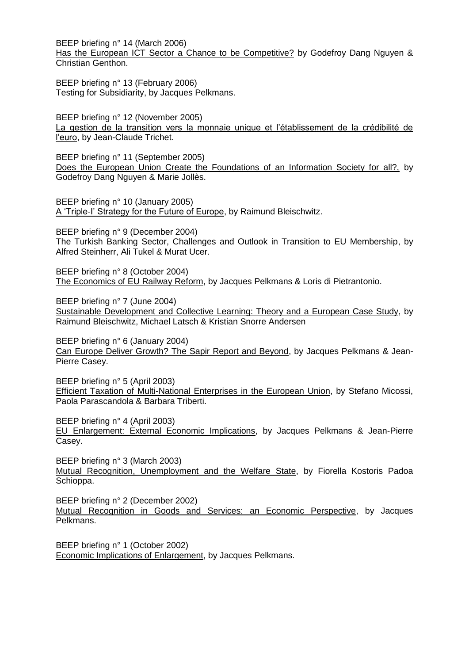BEEP briefing n° 14 (March 2006) [Has the European ICT Sector a Chance to be Competitive?](http://www.coleurop.be/content/studyprogrammes/eco/publications/BEEPs/BEEP14.pdf) by Godefroy Dang Nguyen & Christian Genthon.

BEEP briefing n° 13 (February 2006) [Testing for Subsidiarity,](http://www.coleurop.be/content/studyprogrammes/eco/publications/BEEPs/BEEP13.pdf) by Jacques Pelkmans.

BEEP briefing n° 12 (November 2005) [La gestion de la transition vers la monnaie unique et l'établissement de la crédibilité de](http://www.coleurop.be/content/studyprogrammes/eco/publications/BEEPs/BEEP12.pdf)  [l'euro,](http://www.coleurop.be/content/studyprogrammes/eco/publications/BEEPs/BEEP12.pdf) by Jean-Claude Trichet.

BEEP briefing n° 11 (September 2005) [Does the European Union Create the Foundations of an Information Society for all?,](http://www.coleurop.be/content/studyprogrammes/eco/publications/BEEPs/BEEP11.pdf) by Godefroy Dang Nguyen & Marie Jollès.

BEEP briefing n° 10 (January 2005) [A 'Triple-I' Strategy for the Future of Europe,](http://www.coleurop.be/content/studyprogrammes/eco/publications/BEEPs/BEEP10.pdf) by Raimund Bleischwitz.

BEEP briefing n° 9 (December 2004) [The Turkish Banking Sector, Challenges and Outlook in Transition to EU Membership,](http://www.coleurop.be/content/studyprogrammes/eco/publications/BEEPs/BEEP9.pdf) by Alfred Steinherr, Ali Tukel & Murat Ucer.

BEEP briefing n° 8 (October 2004) [The Economics of EU Railway Reform,](http://www.coleurop.be/content/studyprogrammes/eco/publications/BEEPs/BEEP8.pdf) by Jacques Pelkmans & Loris di Pietrantonio.

BEEP briefing n° 7 (June 2004) [Sustainable Development and Collective Learning: Theory and a European Case Study,](http://www.coleurop.be/content/studyprogrammes/eco/publications/BEEPs/BEEP7.pdf) by Raimund Bleischwitz, Michael Latsch & Kristian Snorre Andersen

BEEP briefing n° 6 (January 2004) [Can Europe Deliver Growth? The Sapir Report and Beyond,](http://www.coleurop.be/content/studyprogrammes/eco/publications/BEEPs/BEEP6.pdf) by Jacques Pelkmans & Jean-Pierre Casey.

BEEP briefing n° 5 (April 2003) [Efficient Taxation of Multi-National Enterprises in the European Union,](http://www.coleurop.be/content/studyprogrammes/eco/publications/BEEPs/BEEP5.pdf) by Stefano Micossi, Paola Parascandola & Barbara Triberti.

BEEP briefing n° 4 (April 2003)

[EU Enlargement: External Economic Implications,](http://www.coleurop.be/content/studyprogrammes/eco/publications/BEEPs/BEEP4.pdf) by Jacques Pelkmans & Jean-Pierre Casey.

BEEP briefing n° 3 (March 2003) [Mutual Recognition, Unemployment and the Welfare State,](http://www.coleurop.be/content/studyprogrammes/eco/publications/BEEPs/BEEP3.pdf) by Fiorella Kostoris Padoa Schioppa.

BEEP briefing n° 2 (December 2002) [Mutual Recognition in Goods and Services: an Economic Perspective,](http://www.coleurop.be/content/studyprogrammes/eco/publications/BEEPs/BEEP2.pdf) by Jacques Pelkmans.

BEEP briefing n° 1 (October 2002) [Economic Implications of Enlargement,](http://www.coleurop.be/content/studyprogrammes/eco/publications/BEEPs/BEEP1.pdf) by Jacques Pelkmans.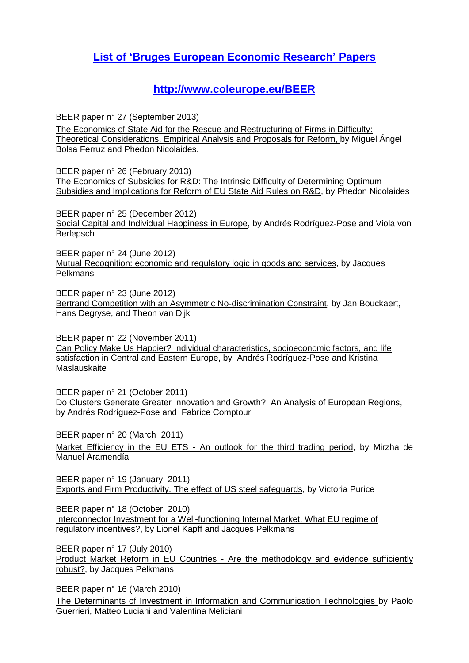## **[List of 'Bruges European Economic Research' Papers](https://www.coleurope.eu/website/study/european-economic-studies/research-activities/bruges-european-economic-research-papers)**

#### **<http://www.coleurope.eu/BEER>**

BEER paper n° 27 (September 2013)

The Economics of State Aid for the Rescue and Restructuring of Firms in Difficulty: Theoretical Considerations, Empirical Analysis and Proposals for Reform, by Miguel Ángel Bolsa Ferruz and Phedon Nicolaides.

BEER paper n° 26 (February 2013) The Economics of Subsidies for R&D: The Intrinsic Difficulty of Determining Optimum Subsidies and Implications for Reform of EU State Aid Rules on R&D, by Phedon Nicolaides

BEER paper n° 25 (December 2012) Social Capital and Individual Happiness in Europe, by Andrés Rodríguez-Pose and Viola von **Berlepsch** 

BEER paper n° 24 (June 2012) Mutual Recognition: economic and regulatory logic in goods and services, by Jacques Pelkmans

BEER paper n° 23 (June 2012) [Bertrand Competition with an Asymmetric No-discrimination Constraint,](http://www.coleurope.eu/content/studyprogrammes/eco/publications/BEER/BEER23.pdf) by Jan Bouckaert, Hans Degryse, and Theon van Dijk

BEER paper n° 22 (November 2011) [Can Policy Make Us Happier? Individual characteristics, socioeconomic factors, and life](http://www.coleurope.eu/content/studyprogrammes/eco/publications/BEER/BEER22.pdf)  [satisfaction in Central and Eastern Europe,](http://www.coleurope.eu/content/studyprogrammes/eco/publications/BEER/BEER22.pdf) by Andrés Rodríguez-Pose and Kristina **Maslauskaite** 

BEER paper n° 21 (October 2011) [Do Clusters Generate Greater Innovation and Growth? An Analysis of European Regions,](http://www.coleurope.eu/content/studyprogrammes/eco/publications/BEER/BEER21.pdf) by Andrés Rodríguez-Pose and Fabrice Comptour

BEER paper n° 20 (March 2011) Market Efficiency in the EU ETS - [An outlook for the third trading period,](http://www.coleurope.eu/content/studyprogrammes/eco/publications/BEER/BEER20.pdf) by Mirzha de Manuel Aramendía

BEER paper n° 19 (January 2011) [Exports and Firm Productivity. The effect of US steel safeguards,](http://www.coleurope.eu/content/studyprogrammes/eco/publications/BEER/BEER19.pdf) by Victoria Purice

BEER paper n° 18 (October 2010) [Interconnector Investment for a Well-functioning Internal Market. What EU regime of](http://www.coleurope.eu/content/studyprogrammes/eco/publications/BEER/BEER18.pdf)  [regulatory incentives?,](http://www.coleurope.eu/content/studyprogrammes/eco/publications/BEER/BEER18.pdf) by Lionel Kapff and Jacques Pelkmans

BEER paper n° 17 (July 2010) Product Market Reform in EU Countries - [Are the methodology and evidence sufficiently](http://www.coleurop.be/content/studyprogrammes/eco/publications/BEER/BEER17.pdf)  [robust?,](http://www.coleurop.be/content/studyprogrammes/eco/publications/BEER/BEER17.pdf) by Jacques Pelkmans

BEER paper n° 16 (March 2010)

[The Determinants of Investment in Information and Communication Technologies](http://www.coleurop.be/content/studyprogrammes/eco/publications/BEER/BEER16.pdf) by Paolo Guerrieri, Matteo Luciani and Valentina Meliciani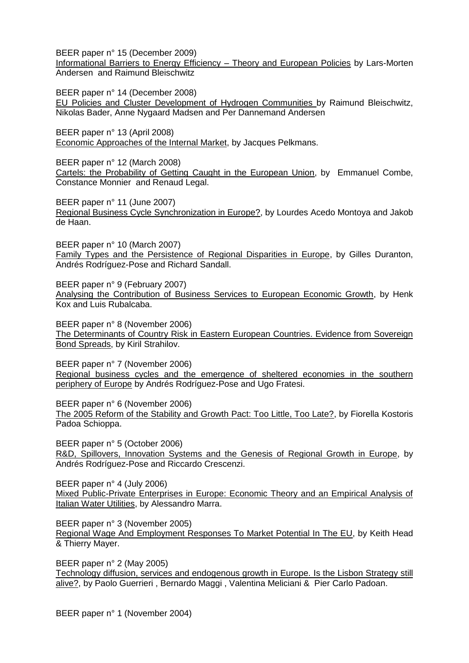BEER paper n° 15 (December 2009) [Informational Barriers to Energy Efficiency –](http://www.coleurop.be/content/studyprogrammes/eco/publications/BEER/BEER_15.pdf) Theory and European Policies by Lars-Morten Andersen and Raimund Bleischwitz

BEER paper n° 14 (December 2008) [EU Policies and Cluster Development of Hydrogen Communities](http://www.coleurop.be/content/studyprogrammes/eco/publications/BEER/BEER14.pdf) by Raimund Bleischwitz, Nikolas Bader, Anne Nygaard Madsen and Per Dannemand Andersen

BEER paper n° 13 (April 2008) [Economic Approaches of the Internal Market,](http://www.coleurop.be/content/studyprogrammes/eco/publications/BEER/BEER13.pdf) by Jacques Pelkmans.

BEER paper n° 12 (March 2008) [Cartels: the Probability of Getting Caught in the European Union,](http://www.coleurop.be/content/studyprogrammes/eco/publications/BEER/BEER12.pdf) by Emmanuel Combe, Constance Monnier and Renaud Legal.

BEER paper n° 11 (June 2007) [Regional Business Cycle Synchronization in Europe?,](http://www.coleurop.be/content/studyprogrammes/eco/publications/BEER/BEER11.pdf) by Lourdes Acedo Montoya and Jakob de Haan.

BEER paper n° 10 (March 2007) [Family Types and the Persistence of Regional Disparities in Europe,](http://www.coleurop.be/content/studyprogrammes/eco/publications/BEER/BEER10.pdf) by Gilles Duranton, Andrés Rodríguez-Pose and Richard Sandall.

BEER paper n° 9 (February 2007) [Analysing the Contribution of Business Services to European Economic Growth,](http://www.coleurop.be/content/studyprogrammes/eco/publications/BEER/BEER9.pdf) by Henk Kox and Luis Rubalcaba.

BEER paper n° 8 (November 2006) [The Determinants of Country Risk in Eastern European Countries. Evidence from Sovereign](http://www.coleurop.be/content/studyprogrammes/eco/publications/BEER/BEER8.pdf)  [Bond Spreads,](http://www.coleurop.be/content/studyprogrammes/eco/publications/BEER/BEER8.pdf) by Kiril Strahilov.

BEER paper n° 7 (November 2006) [Regional business cycles and the emergence of sheltered economies in the southern](http://www.coleurop.be/content/studyprogrammes/eco/publications/BEER/BEER7.pdf)  [periphery of Europe](http://www.coleurop.be/content/studyprogrammes/eco/publications/BEER/BEER7.pdf) by Andrés Rodríguez-Pose and Ugo Fratesi.

BEER paper n° 6 (November 2006) [The 2005 Reform of the Stability and Growth Pact: Too Little, Too Late?,](http://www.coleurop.be/content/studyprogrammes/eco/publications/BEER/BEER6.pdf) by Fiorella Kostoris Padoa Schioppa.

BEER paper n° 5 (October 2006) [R&D, Spillovers, Innovation Systems and the Genesis of Regional Growth in Europe,](http://www.coleurop.be/content/studyprogrammes/eco/publications/BEER/BEER5B.pdf) by Andrés Rodríguez-Pose and Riccardo Crescenzi.

BEER paper n° 4 (July 2006) [Mixed Public-Private Enterprises in Europe: Economic Theory and an Empirical Analysis of](http://www.coleurop.be/content/studyprogrammes/eco/publications/BEER/BEER4.pdf)  [Italian Water Utilities,](http://www.coleurop.be/content/studyprogrammes/eco/publications/BEER/BEER4.pdf) by Alessandro Marra.

BEER paper n° 3 (November 2005) [Regional Wage And Employment Responses To Market Potential In The EU,](http://www.coleurop.be/content/studyprogrammes/eco/publications/BEER/BEER3.pdf) by Keith Head & Thierry Mayer.

BEER paper n° 2 (May 2005) [Technology diffusion, services and endogenous growth in Europe. Is the Lisbon Strategy still](http://www.coleurop.be/content/studyprogrammes/eco/publications/BEER/BEER2.pdf)  [alive?,](http://www.coleurop.be/content/studyprogrammes/eco/publications/BEER/BEER2.pdf) by Paolo Guerrieri , Bernardo Maggi , Valentina Meliciani & Pier Carlo Padoan.

BEER paper n° 1 (November 2004)